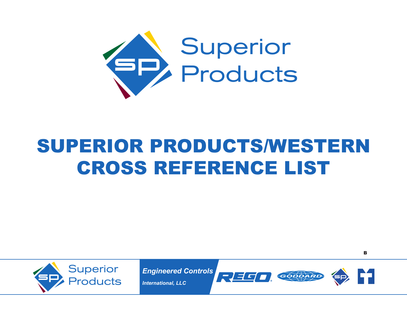

## Superior Products/Western Cross Reference List



*Engineered Controls*

*International, LLC*





B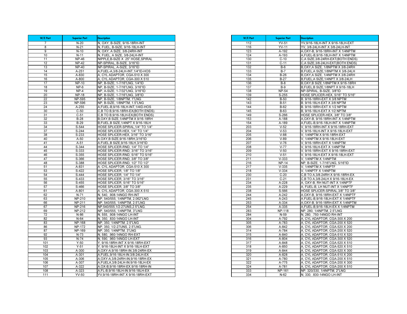| W/E Part | <b>Superior Part</b> | <b>Description</b>                                                      |
|----------|----------------------|-------------------------------------------------------------------------|
| 7        | $N-20$               | N. OXY, B-SIZE, 9/16-18RH-INT                                           |
| 8        | $N-21$               | <u>N, FUEL, B-SIZE, 9/16-18LH-INT</u>                                   |
| 9        | $N-10$               | N, OXY, A SIZE, 3/8-24RH-INT                                            |
| 10       | $N-11$               | N, FUEL, A SIZE, 3/8-24LH-INT                                           |
| 11       | <b>NP-46</b>         | NIPPLE, B-SIZE X .25" HOSE, SPIRAL                                      |
| 12       | <b>NP-42</b>         | NP-SPIRAL, B-SIZE, 3/16"ID                                              |
| 13       | <b>NP-40</b>         | NP-SPIRAL, A-SIZE, 3/16"ID                                              |
| 14       | A-251                | A, FUEL-A, 3/8-24LH-INT, 1/4"ID-HOS                                     |
| 15       | A-830                | A, CYL ADAPTOR, CGA-510 X 300                                           |
| 16       | A-800                | A, CYL ADAPTOR, CGA-300 X 510                                           |
| 17       | <b>NP-10</b>         | NP, B-SIZE, 1-7/16"LNG, 1/4"ID                                          |
| 18       | NP-6                 | NP, B-SIZE, 1-7/16"LNG, 3/16"ID                                         |
| 19       | $NP-4$               | NP, A-SIZE, 1-7/32"LNG, 3/16"ID                                         |
| 20       | <b>NP-18</b>         | NP, B-SIZE, 1-7/16"LNG, 3/8"ID                                          |
| 22       | NP-595               | NP, B-SIZE, 1/8NPTM, 1"LNG                                              |
| 23       | NP-596               | NP, B-SIZE, 1/8NPTM, 1.5"LNG                                            |
| 24       | A-255                | A, FUEL-B, 9/16-18LH-INT, 1/4ID-HOS                                     |
| 30<br>31 | $C-50$<br>$C-51$     | C,B TO B, 9/16-18RH-EX(BOTH ENDS)                                       |
| 32       |                      | C,B TO B, 9/16-18LH-EX(BOTH ENDS)                                       |
|          | $B-28$               | B, OXY, B SIZE, 1/4NPTM X 9/16-18RH                                     |
| 33       | $B-29$               | B, FUEL, B SIZE, 1/4NPT X 9/16-18LH                                     |
| 34<br>37 | S-544<br>S-244       | HOSE SPLICER-SPIRAL, 1/4" TO 1/4"                                       |
|          | S-233                | HOSE SPLICER-HEX, 1/4" TO 1/4"                                          |
| 38<br>40 |                      | HOSE SPLICER-HEX, 3/16" TO 3/16"                                        |
| 41       | A-50<br>A-51         | A.OXY, B SIZE, 9/16-18RH, 3/16"ID<br>A.FUEL, B SIZE, 9/16-18LH, 3/16"ID |
| 44       | S-344                |                                                                         |
| 45       | $S-333$              | HOSE SPLICER-RND, 1/4" TO 1/4"<br>HOSE SPLICER-RND, 3/16" TO 3/16"      |
| 46       | S-355                | HOSE SPLICER-RND, 5/16" TO 5/16"                                        |
| 47       | $S-366$              | HOSE SPLICER-RND, 3/8" TO 3/8"                                          |
| 48       | S-388                | HOSE SPLICER-RND, 1/2" TO 1/2"                                          |
| 51       | A-831                | A. CYL ADAPTOR, CGA-510 X 300                                           |
| 53       | S-422                | HOSE SPLICER, 1/8" TO 1/8"                                              |
| 54       | $S-444$              | HOSE SPLICER, 1/4" TO 1/4"                                              |
| 55       | S-433                | HOSE SPLICER, 3/16" TO 3/16"                                            |
| 56       | S-455                | HOSE SPLICER, 5/16" TO 5/16"                                            |
| 57       | S-466                | HOSE SPLICER, 3/8" TO 3/8"                                              |
| 61       | A-801                | A. CYL ADAPTOR, CGA-300 X 510                                           |
| 62       | $N-71$               | N, 540, .908-14NGO RH-INT                                               |
| 63       | NP-210               | NP, 540/555, 1/4NPTM, 2.062"LNG                                         |
| 66       | NP-211               | NP, 540/555, 1/4NPTM, 2.5"LNG                                           |
| 67       | <b>NP-216</b>        | NP,540/555,1/2-27UNS,2.5"LNG.                                           |
| 69       | <b>NP-212</b>        | NP, 540/555, 1/4NPTM, 3"LNG                                             |
| 72       | N-86                 | N, 555, .908-14NGO LH-INT                                               |
| 82       | $N-64$               | N, 350, 830-14NGO LH-INT                                                |
| 83       | NP-168               | NP, 350, 1/4NPTM, 2.5"LNG                                               |
| 86       | NP-172               | NP, 350, 1/2-27UNS, 2.5"LNG.                                            |
| 87       | <b>NP-169</b>        | NP, 350, 1/4NPTM, 3"LNG                                                 |
| 92       | $N-73$               | N, 580, .960-14NGO RH-EXT                                               |
| 93       | $N-74$               | N, 590, .960-14NGO LH-EXT                                               |
| 101      | $Y-50$               | Y, 9/16-18RH-INT X 9/16-18RH-EXT                                        |
| 102      | $Y-51$               | Y, 9/16-18LH-INT X 9/16-18LH-EXT                                        |
| 103      | A-300                | A, OXY-A, 9/16-18RH-IN. 3/8-24RH-EX                                     |
| 104      | A-301                | A, FUEL, 9/16-18LH-IN. 3/8-24LH-EX                                      |
| 105      | A-306                | A, OXY-A, 3/8-24RH-IN, 9/16-18RH-EX                                     |
| 106      | A-307                | A, FUELA, 3/8-24LH-IN. 9/16-18LH-EX                                     |
| 107      | A-322                | A, OX-B, 9/16-18RH-EX. 9/16-18RH-IN                                     |
| 108      | A-323                | A, FL-B, 9/16-18LH-IN. 9/16-18LH-EX                                     |
| 111      | $YV-50$              | YV, 9/16-18RH-INT X 9/16-18RH-EXT                                       |

| W/E Part   | <b>Superior Part</b> | <b>Description</b>                                                |
|------------|----------------------|-------------------------------------------------------------------|
| 112        | $YV-51$              | YV,9/16-18LH-INT X 9/16-18LH-EXT                                  |
| 116        | $YV-11$              | YV, 3/8-24LH-INT X 3/8-24LH-INT                                   |
| 123        | A-192                | A, OXY-B, 9/16-18RH-INT X 1/4NPTM                                 |
| 124        | $A - 193$            | A, FUEL-B, 9/16-18LH-INT X 1/4NPTM                                |
| 130        | $C-10$               | C, A SIZE, 3/8-24RH-EXT(BOTH ENDS)                                |
| 131        | $C-11$               | C, A SIZE, 3/8-24LH-EXT (BOTH ENDS)                               |
| 132        | $B-6$                | B, OXY, A SIZE, 1/8NPTM X 3/8-24RH                                |
| 133        | $B-7$                | B, FUEL, A SIZE, 1/8NPTM X 3/8-24LH                               |
| 134        | $B-26$               | B, OXY, A SIZE, 1/4NPTM X 3/8-24RH                                |
| 135        | $B-27$               | B, FUEL, A SIZE, 1/4NPT X 3/8-24LH                                |
| 136        | $B-8$                | B, OXY, B SIZE, 1/8NPTM X 9/16-18RH                               |
| 137        | $B-9$                | B, FUEL, B SIZE, 1/8NPT X 9/16-18LH                               |
| 138        | $NP-54$              | NP-SPIRAL, B-SIZE, 3/8"ID                                         |
| 139        | $S-255$              | HOSE SPLICER-HEX, 5/16" TO 5/16"                                  |
| 142        | <b>B-50</b>          | B. 9/16-18RH-EXT X 3/8 NPTM                                       |
| 143        | $B-51$               | B. 9/16-18LH-EXT X 3/8 NPTM                                       |
| 144        | $B-62$               | B. 9/16-18RH-EXT X 1/2 NPTM                                       |
| 145        | B-63                 | B, 9/16-18LH-EXT X 1/2 NPTM                                       |
| 149        | S-266                | HOSE SPLICER-HEX, 3/8" TO 3/8"                                    |
| 153        | A-188                | A, OXY-B, 9/16-18RH-INT X 1/4NPTM                                 |
| 154        | A-189                | A, FUEL-B, 9/16-18LH-INT X 1/4NPTM                                |
| 203        | $V-52$               | V, 9/16-18RH-INT X 9/16-18RH-EXT                                  |
| 204        | $V-53$               | V, 9/16-18LH-INT X 9/16-18LH-EXT                                  |
| 205        | $V-88$               | V, 1/4NPTM X 9/16-18RH-EXT                                        |
| 206        | $V-89$               | V, 1/4NPTM X 9/16-18LH-EXT                                        |
| 207        | $V-76$               | V, 9/16-18RH-EXT X 1/4NPTM                                        |
| 208        | $V-77$               | V, 9/16-18LH-EXT X 1/4NPTM                                        |
| 209        | $V-50$               | V, 9/16-18RH-EXT X 9/16-18RH-EXT                                  |
| 210        | $V-51$               | V, 9/16-18LH-EXT X 9/16-18LH-EXT                                  |
| 211        | $V - 333$            | V, 1/4NPTM X 1/4NPTM                                              |
| 216        | $NP-14$              | NP, B-SIZE, 1-7/16"LNG, 5/16"ID                                   |
| 217        | $V-335$              | V, 1/4NPTM X 1/4NPTF                                              |
| 218        | $V - 334$            | V, 1/4NPTF X 1/4NPTM                                              |
| 230        | $C-20$               | C,B TO A, 3/8-24RH X 9/16-18RH-EX                                 |
| 231        | $C-21$               | C,B TO A, 3/8-24LH X 9/16-18LH-EX                                 |
| 234<br>235 | A-228<br>A-229       | A, OXY-B, RH NUT-INT X 1/4NPTF<br>A, FUEL-B, LH NUT-INT X 1/4NPTF |
| 238        | S-566                | HOSE SPLICER-SPIRAL, 3/8" TO 3/8"                                 |
| 244        | $A-242$              | A.OXY-B, 9/16-18RH-EXT X 1/4NPTF                                  |
| 245        | A-243                | A.FUEL-B, 9/16-18LH-EXT X 1/4NPTF                                 |
| 253        | A-334                | A, OXY-B, 9/16-18RH-EXT X 1/4NPTM                                 |
| 254        | A-335                | A, FUEL-B, 9/16-18LH-EX X 1/4NPTM                                 |
| 283        | NP-118               | NP, 280, 1/4NPTM, 2.5"LNG                                         |
| 284        | N-59                 | N, 280, .750-14NGO RH-INT                                         |
| 304        | A-792                | A, CYL ADAPTOR, CGA-300 X 200                                     |
| 305        | $A-783$              | A, CYL ADAPTOR, CGA-200 X 520                                     |
| 306        | A-842                | A, CYL ADAPTOR, CGA-520 X 200                                     |
| 314        | A-784                | A, CYL ADAPTOR, CGA-200 X 520                                     |
| 315        | A-840                | A, CYL ADAPTOR, CGA-510 X 520                                     |
| 316        | A-804                | A, CYL ADAPTOR, CGA-300 X 520                                     |
| 317        | A-848                | A, CYL ADAPTOR, CGA-520 X 510                                     |
| 318        | A-850                | A, CYL ADAPTOR, CGA-520 X 510                                     |
| 319        | A-844                | A, CYL ADAPTOR, CGA-520 X 300                                     |
| 320        | A-828                | A, CYL ADAPTOR, CGA-510 X 200                                     |
| 321        | A-780                | A, CYL ADAPTOR, CGA-200 X 510                                     |
| 322        | A-775                | A, CYL ADAPTOR, CGA-200 X 300                                     |
| 324        | A-781                | A, CYL ADAPTOR, CGA-200 X 510                                     |
| 333        | NP-161               | NP, 320/330, 1/4NPTM, 2"LNG                                       |
| 334        | N-62                 | N, 330, .830-14NGO LH-INT                                         |
|            |                      |                                                                   |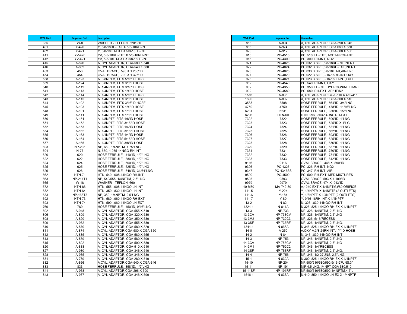| W/E Part   | <b>Superior Part</b> | <b>Description</b>                                             |
|------------|----------------------|----------------------------------------------------------------|
| 335        | $W-8$                | WASHER - TEFLON, 320/330                                       |
| 401        | $Y-420$              | Y, 5/8-18RH-EXT X 5/8-18RH-INT                                 |
| 402        | $Y-421$              | Y, 5/8-18LH-EXT X 5/8-18LH-INT                                 |
| 411        | YV-420               | YV, 5/8-18RH-EXT X 5/8-18RH-INT                                |
| 412        | YV-421               | YV, 5/8-18LH-EXT X 5/8-18LH-INT                                |
| 415        | A-876                | A, CYL ADAPTOR, CGA-580 X 540                                  |
| 416        | A-862                | A, CYL ADAPTOR, CGA-540 X 580                                  |
| 453        | 453                  | OVAL BRACE, .593 X 1.238"ID                                    |
| 454        | 454                  | OVAL BRACE, 700 X 1.325"ID                                     |
| 538        | $A-123$              | A. 3/8NPTM, FITS 5/16"ID HOSE                                  |
| 539        | A-124                | A. 3/8NPTM, FITS 3/8"ID HOSE                                   |
| 540        | A-112                | A. 1/4NPTM, FITS 3/16"ID HOSE                                  |
| 541        | A-113                | A. 1/4NPTM, FITS 1/4"ID HOSE                                   |
| 542        | A-114                | 1/4NPTM. FITS 5/16"ID HOSE<br>А.                               |
| 543        | A-115                | A. 1/4NPTM, FITS 3/8"ID HOSE                                   |
| 544        | A-102                | A. 1/8NPTM, FITS 3/16"ID HOSE                                  |
| 545        | A-103                | A. 1/8NPTM, FITS 1/4"ID HOSE<br>1/8NPTM, FITS 1/8"ID HOSE      |
| 548<br>549 | A-101<br>A-111       | А.<br>1/4NPTM, FITS 1/8"ID HOSE                                |
| 550        | A-151                | A. 1/8NPTF, FITS 1/8"ID HOSE                                   |
| 551        | A-152                | 1/8NPTF, FITS 3/16"ID HOSE                                     |
| 552        | A-153                | 1/8NPTF, FITS 1/4"ID HOSE<br>A.                                |
| 554        | A-162                | A. 1/4NPTF, FITS 3/16"ID HOSE                                  |
| 555        | A-163                | A. 1/4NPTF, FITS 1/4"ID HOSE                                   |
| 556        | A-164                | A. 1/4NPTF, FITS 5/16"ID HOSE                                  |
| 557        | A-165                | A. 1/4NPTF, FITS 3/8"ID HOSE                                   |
| 603        | <b>NP-236</b>        | NP, 660, 1/4NPTM. 1.75"LNG                                     |
| 604        | N-77                 | N, 660, 1.035-14NGO RH-INT                                     |
| 620        | 620                  | HOSE FERRULE, .410"ID, 1/2"LNG                                 |
| 622        | 622                  | HOSE FERRULE, .380"ID, 1/2"LNG                                 |
| 624        | 624                  | HOSE FERRULE, .500"ID, 1/2"LNG                                 |
| 625        | 625                  | HOSE FERRULE, .525"ID, 1/2"LNG                                 |
| 626        | 626                  | HOSE FERRULE, .548"ID, 31/64"LNG                               |
| 662        | <b>HTN-71</b>        | HTN, 540, .908-14NGO RH-INT                                    |
| 663        | <b>NP-211T1</b>      | NP, 540/555, 1/4NPTM, 2.5"LNG                                  |
| 665        | $W-18$               | WASHER - TEFLON, 660                                           |
| 672        | <b>HTN-86</b>        | HTN, 555, .908-14NGO LH-INT                                    |
| 682        | <b>HTN-64</b>        | HTN, 350, .830-14NGO LH-INT                                    |
| 683        | NP-168T3             | NP, 350, 1/4NPTM, 2.5"LNG                                      |
| 692        | <b>HTN-73</b>        | HTN, 580, .960-14NGO RH-EXT                                    |
| 693        | <b>HTN-74</b>        | HTN, 590, .960-14NGO LH-EXT                                    |
| 769        | 769                  | HOSE FERRULE, .450"ID, 9/16"LNG                                |
| 802        | A-948                | A, CYL ADAPTOR, CGA-555 X 510                                  |
| 806        | A-809                | A, CYL ADAPTOR, CGA-320 X 580                                  |
| 808        | A-820                | A, CYL ADAPTOR, CGA-350 X 580                                  |
| 809        | A-952                | A, CYL ADAPTOR, CGA-555 X 580                                  |
| 810        | A-870                | A, CYL ADAPTOR, CGA-580 X 320                                  |
| 811        | A-874                | A, CYL. ADAPTOR, CGA-580 X CGA-350                             |
| 812        | A-885                | A, CYL ADAPTOR, CGA-580 X 555                                  |
| 813        | A-879                | A, CYL ADAPTOR, CGA-580 X 590                                  |
| 815        | A-892                | A, CYL ADAPTOR, CGA-590 X 580                                  |
| 820        | A-838                | A, CYL ADAPTOR, CGA-510 X 510                                  |
| 827<br>828 | A-930                | A, CYL ADAPTOR, CGA-346 X 540                                  |
| 831        | A-935<br>A-789       | A, CYL ADAPTOR, CGA-346 X 580<br>A, CYL ADAPTOR, CGA-280 X 540 |
| 832        | A-866                | A, CYL. ADAPTOR, CGA-540 X CGA-346                             |
| 833        | 833                  | HOSE FERRULE, .358"ID, 1/2"LNG                                 |
| 841        | A-968                | A, CYL. ADAPTOR, CGA-296 X 590                                 |
| 843        | A-937                | A, CYL ADAPTOR, CGA-346 X 590                                  |
|            |                      |                                                                |

| W/E Part  | <b>Superior Part</b>        | <b>Description</b>                  |
|-----------|-----------------------------|-------------------------------------|
| 858       | A-894                       | A, CYL ADAPTOR, CGA-590 X 346       |
| 866       | A-974                       | A, CYL ADAPTOR, CGA 660 X 580       |
| 873       | A-912                       | A, CYL ADAPTOR, CGA-500 X 580       |
| 915       | PC-4510                     | PC, 510, LH-EXT, ACET/PROPANE       |
| 916       | PC-4300                     | PC, 300, RH-INT, NO2                |
| 921       | PC-4026                     | PC,032,B SIZE,5/8-18RH-INT,INERT    |
| 922       | PC-4024                     | PC,032,B SIZE,5/8-18RH-EXT,INERT    |
| 923       | PC-4025                     | PC,033,B SIZE,5/8-18LH-X,AIR/H20    |
| 927       | PC-4020                     | PC,022,B SIZE,9/16-18RH-INT,OXY     |
| 928       | PC-4021                     | PC,023,B SIZE,9/16-18LH-INT,FUEL    |
| 962       | PC-4540                     | PC, 540, RH-INT, OXY                |
| 982       | PC-4350                     | PC, 350, LH-INT, HYDROGN/METHANE    |
| 992       | PC-4580                     | PC, 580, RH-EXT, AR/HE/N2           |
| 1516      | A-836                       | A, CYL ADAPTOR, CGA-510 X 410/415   |
| 1690      | $A-802$                     | A, CYL ADAPTOR, CGA-300 X 510       |
| 3588      | 3588                        | HOSE FERRULE, .564"ID, 3/4"LNG      |
| 4750      | 4750                        | HOSE FERRULE, .478"ID, 11/16"LNG    |
| 6231      | 6231                        | HOSE FERRULE, .330"ID, 1/2"LNG      |
| 6296      | <b>HTN-60</b>               | HTN, 296, .803-14UNS RH-EXT         |
| 7322      | 7322                        | HOSE FERRULE, .500"ID, 1"LNG        |
| 7323      | 7323                        | HOSE FERRULE, .525"ID X 1"LG        |
| 7324      | 7324                        | HOSE FERRULE, .531"ID, 1"LNG        |
| 7325      | 7325                        | HOSE FERRULE, .562"ID, 1"LNG        |
| 7326      | 7326                        | HOSE FERRULE, .593"ID, 1"LNG        |
| 7327      | 7327                        | HOSE FERRULE, .625"ID, 1"LNG        |
| 7328      | 7328                        | HOSE FERRULE, .656"ID, 1"LNG        |
| 7329      | 7329                        | HOSE FERRULE, .687"ID, 1"LNG        |
| 7331      | 7331                        | HOSE FERRULE, .750"ID, 1"LNG        |
| 7332      | 7332                        | HOSE FERRULE, .781"ID, 1"LNG        |
| 7333      | 7333                        | HOSE FERRULE, .812"ID, 1"LNG        |
| 9116      | 9116                        | OVAL BRACE, .448 X .890"ID          |
| 9326      | PC-4326                     | PC, 326, RH-INT, NO2                |
| 9347      | PC-4347SS                   | PC, 347, RH-INT, AIR                |
| 9500      | PC-4500                     | PC, 500, RH-EXT, MED MIXTURES       |
| 9593      | 9593                        | OVAL BRACE, 593 X 1.109"ID          |
| 9979      | 9979                        | OVAL BRACE, 474 X .943"ID           |
| 10-M80    | MA-742-80                   | A, 1240-EXT X 1/4NPTM, #80 ORIFICE  |
| $111 - 5$ | $Y - 224$                   | Y, 1/4NPTM X 1/4NPTF (2 OUTLETS)    |
| $111 - 6$ | $Y - 184$                   | Y, 1/8NPTF X 1/4NPTF (2 OUTLETS)    |
| $111 - 7$ | $Y-80$                      | 9/16-18RH-INT X 1/4NPTF<br>Υ.       |
| $13 - 2$  | $N-82$                      | N, 326, 830-14NGO RH-INT            |
| 1321-1    | N-811A                      | N,326,.825-14NGO RH-EX X 1/4NPTF    |
| $13 - 3$  | NP-733                      | NP, 326, 1/4NPTM, 2.5"LNG           |
| $13-3CV$  | <b>NP-733CV</b>             | NP, 326, 1/4NPTM, 2.5"LNG           |
| 13-3M2    | NP-732C3                    | NP, 326, 5/16"RECESS                |
| 13-3SF    | <b>NP-733RF</b>             | NP, 326, 1/4NPTM, 2.5"LNG.          |
| 1341-1    | N-866A                      | N.346825-14NGO RH-EX X 1/4NPTF      |
| $14 - 0$  | $A-250$                     | A, OXY-A, 3/8-24RH-INT, 1/4"ID-HOSE |
| $14 - 2$  | $N-84$                      | N, 346, .830-14NGO RH-INT           |
| $14-3$    | NP-753                      | NP, 346, 1/4NPTM, 2.5"LNG           |
| 14-3CV    | <b>NP-753CV</b>             | NP, 346, 1/4NPTM, 2.5"LNG           |
| 14-3M1    | <b>NP-752C2</b>             | NP, 346, 1/4"RECESS                 |
| 14-3SF    | <b>NP-753RF</b>             | NP, 346, 1/4NPTM, 2.5"LNG.          |
| $14 - 4$  | NP-756                      | NP, 346, 1/2-27UNS, 2.5"LNG.        |
| $15 - 1$  | N-830A                      | N, 300, 825-14NGO RH-EX X 1/4NPTF   |
| $15 - 10$ | $\overline{\text{NP}}$ -204 | NP,500/510/580/590,9/16-27UNS,3"    |
| 15-11     | NP-191                      | NIP 4.5 LNG, 1/4NPT CGA 580, 510    |
| 15-11SF   | <b>NP-191RF</b>             | NP,500/510/580/590,1/4NPTM,4.5"L    |
| 1516-1    | N-836A                      | N,410,.850-14NGO LH-EX X 1/4NPTF    |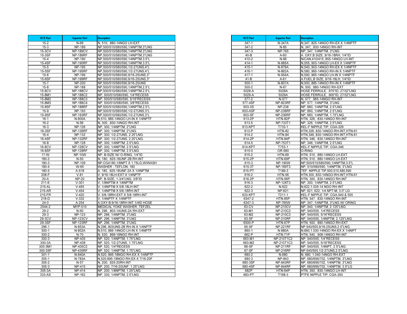| W/E Part      | <b>Superior Part</b> | <b>Description</b>                                           |
|---------------|----------------------|--------------------------------------------------------------|
| $15 - 2$      | N-69                 | N. 510. .880-14NGO LH-EXT                                    |
| $15 - 3$      | <b>NP-189</b>        | NP,500/510/580/590,1/4NPTM,3"LNG                             |
| 15-3CV        | <b>NP-189CV</b>      | NP,500/510/580/590,1/4NPTM,3"LNG                             |
| 15-3SF        | <b>NP-189RF</b>      | NP,500/510/580/590,1/4NPTM,3"LNG                             |
| $15 - 4$      | NP-190               | NP,500/510/580/590,1/4NPTM,3.5"L                             |
| 15-4SF        | <b>NP-190RF</b>      | NP,500/510/580/590,1/4NPTM,3.5"L                             |
| $15 - 5$      | NP-195               | NP,500/510/580/590,1/2-27UNS,4"L                             |
| 15-5SF        | <b>NP-195RF</b>      | NP,500/510/580/590,1/2-27UNS,4"L                             |
| $15 - 6$      | <b>NP-199</b>        | NP,500/510/580/590,9/16-25UNS,3"                             |
| 15-6SF        | <b>NP-199RF</b>      | NP,500/510/580/590,9/16-25UNS,3"                             |
| $15 - 7$      | NP-200               | NP,500/510/580/590,9/16-25UNS                                |
| $15 - 8$      | <b>NP-188</b>        | NP,500/510/580/590,1/4NPTM,2.5"L                             |
| 15-8CV        | <b>NP-188CV</b>      | NP,500/510/580/590,1/4NPTM,2.5"L                             |
| 15-8M1        | <b>NP-188C2</b>      | NP, 500/510/580/590, 1/4"RECESS                              |
| 15-8M2        | NP-188C3             | NP, 500/510/580/590, 5/16"RECESS                             |
| 15-8M3        | <b>NP-188C4</b>      | NP, 500/510/580/590, 3/8"RECESS                              |
| 15-8SF        | <b>NP-188RF</b>      | NP,500/510/580/590,1/4NPTM,2.5"L                             |
| $15-9$        | NP-193               | NP,500/510/580/590,1/2-27UNS,3"L                             |
| 15-9SF        | <b>NP-193RF</b>      | NP,500/510/580/590,1/2-27UNS,3"L                             |
| $16-1$        | N-800A               | N,510,.885-14NGO LH-IN X 1/4NPTF                             |
| $16 - 2$      | $N-56$               | N, 300, 830-14NGO RH-INT                                     |
| $16-3$        | <b>NP-126</b>        | NP, 300, 1/4NPTM, 2"LNG                                      |
| 16-3SF        | <b>NP-126RF</b>      | NP, 300, 1/4NPTM, 2"LNG.                                     |
| $16 - 4$      | NP-132               | NP, 300, 1/2-27UNS, 2.25"LNG.                                |
| 16-4SF        | <b>NP-132RF</b>      | NP. 300, 1/2-27UNS, 2.25"LNG.                                |
| $16 - 8$      | <b>NP-128</b>        | NP, 300, 1/4NPTM, 2.5"LNG                                    |
| 16-8CV        | <b>NP-128CV</b>      | NP, 300, 1/4NPTM, 2.5"LNG                                    |
| 16-8SF        | <b>NP-128RF</b>      | NP, 300, 1/4NPTM, 2.5"LNG.                                   |
| 17-W<br>180-2 | <b>NP-10W</b>        | NP, B-SIZE W/ O-RING, 1/4"ID<br>N, 180, .625-18UNF-2B RH-INT |
| $180 - 3$     | $N-50$<br>NP-109     | NP,CGA180,1/8NPT X 1.75LG,W/WASH                             |
| 180-4         | W-65                 | WASHER - TEFLON, 180                                         |
| 180-5         | $A-518$              | A. 180, .625-18UNF-2A X 1/4NPTM                              |
| $208-F$       | $V-81$               | V, 9/16-18LH-EXT X 1/4NPTF                                   |
| $20-A$        | $NP-20$              | NP, B-SIZE, 1-3/4"LNG, 3/8"ID                                |
| 211-E         | $V-301$              | V, 1/8NPTM X 1/8NPTM                                         |
| 215-AL        | $V - 455$            | 1/4NPTM X 5/8-18LH-INT                                       |
| 215-AR        | $V - 454$            | V. 1/4NPTM X 5/8-18RH-INT                                    |
| $215 - FR$    | $V-420$              | V, 5/8-18RH-EXT X 5/8-18RH-INT                               |
| 218-D         | $V - 332$            | V, 1/4NPTF X 1/4NPTF                                         |
| $24-0$        | $A-254$              | A, OXY-B, 9/16-18RH-INT, 1/4ID HOSE                          |
| 2544-2        | MYP-010              | MEDICAL YOKE WASHER, TEFZEL                                  |
| $29 - 2$      | N-60                 | N, 296, .803-14UNS-2A RH-EXT                                 |
| $29-3$        | NP-123               | NP, 296, 1/4NPTM, 3"LNG                                      |
| 29-3CV        | <b>NP-123CV</b>      | NP, 296, 1/4NPTM, 3"LNG                                      |
| 29-3SF        | <b>NP-123RF</b>      | NP, 296, 1/4NPTM, 3"LNG.                                     |
| $296-1$       | N-853A               | N.296803UNS-2B RH-IN X 1/4NPTF                               |
| $300 - 1$     | N-802A               | N,510,.885-14NGO LH-IN X 1/4NPTF                             |
| $300 - 2$     | $N-70$               | N, 520, 899-18NGO RH-INT                                     |
| $300 - 3$     | <b>NP-435</b>        | NP, 520, 1/4NPTM, 1.75"LNG                                   |
| 300-3A        | <b>NP-438</b>        | NP. 520. 1/2-27UNS. 1.75"LNG.                                |
| 300-3M1       | <b>NP-435C2</b>      | NP, 520, 1/4"RECESS                                          |
| 300-3SF       | <b>NP-435RF</b>      | NP, 520, 1/4NPTM, 1.75"LNG.                                  |
| $301 - 1$     | N-840A               | N,520,.895-18NGO RH-EX X 1/4NPTF                             |
| $305 - 1$     | N-783A               | N,520,895-18NGO RH-EX X 7/16-20F                             |
| $305 - 2$     | $N-57$               | N, 200, .625-20RH-INT                                        |
| $305 - 3$     | NP-415               | NP, 200, 7/16-20UNF, 1.25"LNG                                |
| 305-3A        | <b>NP-414</b>        | NP, 200, 1/8NPTM, 1.25"LNG                                   |
| 333-AS        | <b>NP-162</b>        | NP, 330, 1/4NPTM, 2.5"LNG                                    |

| W/E Part          | <b>Superior Part</b>               | <b>Description</b>                                      |
|-------------------|------------------------------------|---------------------------------------------------------|
| 347-1             | N-347A                             | N, 347, 825-14NGO RH-EX X 1/4NPTF                       |
| 347-2             | $N-85$                             | N, 347, .830-14NGO RH-INT                               |
| $347 - 3$         | <b>NP-765</b>                      | NP, 347, 1/4NPTM, 3"LNG                                 |
| $40 - B$          | $A-60$                             | A. OXY, B SIZE, 9/16-18RH, 1/4"ID                       |
| $410 - 2$         | N-66                               | N/CAN, 410/415, 855-14NGO LH-INT                        |
| $414 - 1$         | N-885A                             | N, 555, 903-14NGO LH-EX X 1/4NPTF                       |
| 415-1             | N-876A                             | N,540,.903-14NGO RH-EX X 1/4NPTF                        |
| 416-1             | N-862A                             | N,580,.965-14NGO RH-IN X 1/4NPTF                        |
| $417 - 1$         | N-954A                             | N,590,.965-14NGO LH-IN X 1/4NPTF                        |
| $41 - B$          | $A-61$                             | A.FUEL, B SIZE, 9/16-18LH, 1/4"ID                       |
| $500 - 1$         | N-807A                             | N,500,.885-14NGO RH-IN X 1/4NPTF                        |
| 500-2             | $N-67$                             | N, 500, 880-14NGO RH-EXT                                |
| 5028-A            | 5028A                              | HOSE FERRULE, .975"ID, 27/32"LNG                        |
| 5029-A            | 5029A                              | HOSE FERRULE, .900"ID, 27/32"LNG                        |
| $577 - 2$         | N-577                              | N, 577, .965-14NGO RH-INT                               |
| 577-4SF           | <b>NP-823RF</b>                    | NP, 577, 1/4NPTM, 3"LNG                                 |
| 603-3S            | <b>NP-238</b>                      | NP, 660, 1/4NPTM, 2.5"LNG                               |
| 603-ASF<br>603-SF | <b>NP-238RF</b><br><b>NP-236RF</b> | NP, 660, 1/4NPTM, 2.5"LNG.                              |
|                   |                                    | NP, 660, 1/4NPTM, 1.75"LNG.                             |
| 613-2P<br>613-5   | HTN-82P<br>NP-733T1                | HTN, 326, 830-14NGO RH-INT<br>NP, 326, 1/4NPTM, 2.5"LNG |
| 613-KPT           | T733-1                             | KEL-F NIPPLE TIP, CGA-326                               |
| 613-P             | <b>HTN-82</b>                      | HTN, 326, 830-14NGO-RH-INT, HTN-61                      |
| $614 - 2$         | <b>HTN-84</b>                      | HTN, 346, .830-14NGO-RH-INT, HTN-61                     |
| 614-2P            | HTN-84P                            | HTN, 346, .830-14NGO RH-INT                             |
| 614-5             | NP-753T1                           | NP, 346, 1/4NPTM, 2.5"LNG                               |
| 614-KPT           | T753-1                             | KEL-F NIPPLE TIP, CGA-346                               |
| 615-0             | OR-580                             | O-RING                                                  |
| 615-2             | <b>HTN-69</b>                      | HTN, 510, .880-14NGO LH-EXT                             |
| 615-2P            | HTN-69P                            | HTN, 510, .880-14NGO LH-EXT                             |
| $615 - 3$         | <b>NP-190W</b>                     | NP,500/510/580/590,1/4NPTM,3.5"L                        |
| 615-3T            | NP-189T3                           | NP, 510/580/590, 1/4NPTM, 3"LNG                         |
| 615-PT            | T189-3                             | TEF. NIPPLE TIP, 500, 510, 580, 590                     |
| 616-2             | <b>HTN-56</b>                      | HTN, 300, 830-14NGO-RH-INT, HTN-61                      |
| 616-2P            | HTN-56P                            | HTN, 300, .830-14NGO RH-INT                             |
| 616-3             | NP-128T3                           | NP, 300, 1/4NPTM, 2.5"LNG                               |
| $622 - 2$         | N-622                              | N,622,1.035-14 NGO RH-INT                               |
| 622-3             | NP-621                             | NP, 621, 622, 1/4 NPT-M, 3.0" LG                        |
| 633-KPT           | T211-1                             | KEL-F NIPPLE TIP, CGA-540 & 555                         |
| 6347-2            | HTN-85P                            | HTN, 347, .830-14NGO RH-INT                             |
| 6347-3            | <b>NP-765W</b>                     | NP, 347, 1/4NPTM, 3"LNG W/ ORING                        |
| $63-CV$           | <b>NP-210CV</b>                    | NP, 540, 1/4NPTM, 2.125"LNG                             |
| 63-M1             | NP-210C2                           | NP. 540/555. 1/4"RECESS                                 |
| 63-M2             | NP-210C3                           | NP, 540/555, 5/16"RECESS                                |
| 63-SF             | <b>NP-210RF</b>                    | NP, 540/555, 1/4NPTM, 2.125"LNG.                        |
| 6500-P            | HTN-67P                            | HTN, 500, .880-14NGO RH-EXT                             |
| 65-SF             | <b>NP-221RF</b>                    | NP,540/555,9/16-25UNS,2.5"LNG                           |
| 660-1             | N-880A                             | N,660,1.030-14NGO RH-EX X 1/4NPT                        |
| 662-P             | <b>HTN-71P</b>                     | HTN, 540, .908-14NGO RH-INT                             |
| 663-M1            | NP-210T1C2                         | NP, 540/555, 1/4"RECESS                                 |
| 663-M2            | NP-210T1C3                         | NP, 540/555, 5/16"RECESS                                |
| 66-SF             | <b>NP-211RF</b>                    | NP, 540/555, 1/4NPT, 2.5"LNG.                           |
| 67-SF             | <b>NP-216RF</b>                    | NP,540/555,1/2-27UNS,2.5"LNG.                           |
| 680-2             | N-680                              | N, 680, 1.040-14NGO RH-EXT                              |
| 680-3             | <b>NP-843</b>                      | NP, 680/695/702, 1/4NPTM, 3"LNG                         |
| 680-3SF           | <b>NP-843RF</b>                    | NP, 680/695/702, 1/4NPTM, 3"LNG                         |
| 680-4SF           | <b>NP-844RF</b>                    | NP, 680/695/702, 1/4NPTM, 3.5"LG                        |
| 682P              | HTN-64P                            | HTN, 350, 830-14NGO LH-INT                              |
| 683-PT            | T168-3                             | PTFE NIPPLE TIP, CGA-350                                |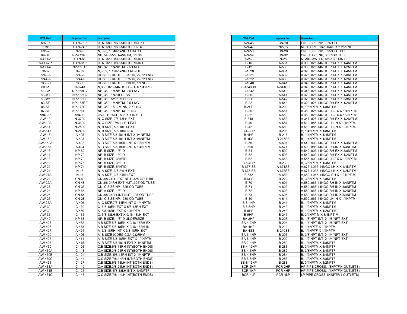| W/E Part             | <b>Superior Part</b>        | <b>Description</b>                                                |
|----------------------|-----------------------------|-------------------------------------------------------------------|
| 692-P                | $HTN-73P$                   | HTN, 580, .960-14NGO RH-EXT                                       |
| 693P                 | HTN-74P                     | HTN, 590, .960-14NGO LH-EXT                                       |
| 695-2                | N-695                       | N, 695, 1.040-14NGO LH-EXT                                        |
| 69-SF                | <b>NP-212RF</b>             | NP, 540/555, 1/4NPTM, 3"LNG.                                      |
| 6-CO-2               | <b>HTN-61</b>               | HTN, 320, 830-14NGO RH-INT                                        |
| 6-CO-2P              | HTN-61P                     | HTN, 320, 830-14NGO RH-INT                                        |
| 6-CO-4               | <b>NP-150T3</b>             | NP, 320, 1/4NPTM, 2.5"LNG                                         |
| $702 - 2$            | $N-702$                     | N, 702, 1.120-14NGO RH-EXT                                        |
| 7242-A               | 7242A                       | HOSE FERRULE, .937"ID, 27/32"LNG                                  |
| 7244-A               | 7244A                       | HOSE FERRULE, .875"ID, 27/32"LNG                                  |
| 7330-B               | 7330B                       | HOSE FERRULE, .718"ID, 1"LNG                                      |
| $800 - 1$            | N-874A                      | N,350, 825-14NGO LH-EX X 1/4NPTF                                  |
| 83-CV<br>83-M1       | <b>NP-168CV</b><br>NP-168C2 | NP, 350, 1/4NPTM, 2.5"LNG<br>NP, 350, 1/4"RECESS                  |
| 83-M2                | NP-168C3                    | NP, 350, 5/16"RECESS                                              |
| 83-SF                | <b>NP-168RF</b>             | NP, 350, 1/4NPTM, 2.5"LNG.                                        |
| 86-SF                | <b>NP-172RF</b>             | NP, 350, 1/2-27UNS, 2.5"LNG.                                      |
| 87-SF                | <b>NP-169RF</b>             | NP, 350, 1/4NPTM, 3"LNG.                                          |
| 9940-P               | 9940P                       | OVAL BRACE, 535 X 1.071"ID                                        |
| AW-10                | N-3700                      | N. C SIZE, 7/8-18LH-EXT                                           |
| <b>AW-10A</b>        | N-3600                      | N. C-SIZE, 7/8-14 RH-EXT                                          |
| AW-14                | N-2500                      | N, B SIZE, 5/8-18LH-EXT                                           |
| $\overline{AW}$ -14A | N-2400                      | N, B SIZE, 5/8-18RH-EXT                                           |
| AW-15                | A-405                       | A. B SIZE, 5/8-18LH-INT X 1/4NPTM                                 |
| AW-152               | A-403                       | A. B SIZE, 5/8-18LH-INT X 1/8NPTM                                 |
| AW-152A              | $A-402$                     | A. B SIZE, 5/8-18RH-INT X 1/8NPTM                                 |
| <b>AW-15A</b>        | $A-404$                     | A. B SIZE, 5/8-18RH-INT X 1/4NPTM                                 |
| AW-16                | <b>NP-69</b>                | NP, B SIZE, 1/8"ID                                                |
| AW- $17$             | <b>NP-72</b>                | NP, B SIZE, 1/4"ID                                                |
| AW-18                | $NP-70$                     | NP, B SIZE, 3/16"ID                                               |
| AW-19                | <b>NP-76</b>                | NP, B SIZE, 3/8"ID                                                |
| AW-20                | <b>NP-74</b>                | NP, B SIZE, 5/16"ID                                               |
| AW-21                | $N-15$                      | N, A SIZE, 3/8-24LH-EXT                                           |
| <b>AW-21A</b>        | $N-14$                      | N, A SIZE, 3/8-24RH-EXT                                           |
| AW-22                | $CN-49$                     | CN, 3/8-24LH-EXT NUT, 325"OD TUBE                                 |
| <b>AW-22A</b>        | <b>CN-48</b><br>CN-36       | CN, 3/8-24RH-EXT NUT, .325"OD TUBE<br>CN, C SIZE NP, .325"OD TUBE |
| AW-23<br>AW-24       | <b>NP-66</b>                | NP, A SIZE, 1/8"ID                                                |
| $AW-25$              | CN-54                       | CN, 3/8-24RH-INT NUT, 325"OD TUBE                                 |
| AW-26                | CN-28                       | CN, C SIZE NP, .230"OD TUBE                                       |
| AW-27A               | A-406                       | A. C SIZE,7/8-14RH-INT X 1/4NPTM                                  |
| AW-30                | $C-130$                     | C, 5/8-18RH-EXT X 5/8-18RH-EXT                                    |
| AW-32                | A-450                       | A. 5/8-18RH-EXT X 1/4NPTM                                         |
| AW-35                | $C-135$                     | C, 5/8-18LH-EXT X 9/16-18LH-EXT                                   |
| AW-40                | <b>NP-68</b>                | NP, B SIZE, 1/8"ID UNDERSIZE                                      |
| AW-403               | A-462                       | A, B SIZE, 5/8-18RH X 9/16-18RH-EX                                |
| AW-405               | $A-478$                     | A, B SIZE, 5/8-18RH X 9/16-18RH-IN                                |
| AW-407               | $A-424$                     | A, 5/8-18RH-INT X 5/8-18RH-EXT                                    |
| AW-409               | A-426                       | A, B-SIZE 90DEG CGA-032RHM                                        |
| AW-427               | $A-414$                     | A, B SIZE, 5/8-18RH-EXT X 1/4NPTM                                 |
| AW-428               | A-415                       | A. B SIZE.5/8-18LH-EXT X 1/4NPTM                                  |
| AW-430               | $C-126$                     | C,B SIZE,5/8-18RH-INT(BOTH ENDS)                                  |
| AW-430A              | $C-118$                     | C,A SIZE,3/8-24RH-INT(BOTH ENDS)                                  |
| AW-430B              | $C-124$                     | C,B-SIZE, 5/8-18RH-INT X 1/4NPTF                                  |
| AW-430C              | $C-144$                     | C.C SIZE.7/8-14RH-INT(BOTH ENDS)                                  |
| AW-431               | $C-127$                     | C.B SIZE, 5/8-18LH-INT (BOTH ENDS)                                |
| AW-431A              | $C-119$                     | C, A SIZE, 3/8-24LH-INT (BOTH ENDS)                               |
| AW-431B              | $C-125$                     | C,B SIZE, 5/8-18LH-INT X 1/4NPTF                                  |
| <b>AW-431C</b>       | $C-145$                     | C,C SIZE, 7/8-14LH-INT (BOTH ENDS)                                |

| W/E Part                  | <b>Superior Part</b>    | <b>Description</b>                                                   |
|---------------------------|-------------------------|----------------------------------------------------------------------|
| AW-46                     | $\overline{C}N-10$      | CN, B SIZE NP, .375"OD                                               |
| AW-47                     | <b>NP-73</b>            | NP, B SIZE, 1/4" BARB X 2.25"LNG                                     |
| AW-50                     | <b>CN-20</b>            | CN, B SIZE NP, .325"OD TUBE                                          |
| AW-54                     | $CN-32$                 | CN, C SIZE NP, .265"OD TUBE                                          |
| <b>AW-7</b>               | $N-26$                  | N, AIR-WATER, 5/8-18RH-INT                                           |
| $B-10$                    | A-531                   | A.300, 825-14NGO RH-EX X 1/4NPTM                                     |
| $B-12$                    | A-533                   | A.300, 825-14NGO RH-EX X 1/2NPTM                                     |
| B-1320                    | A-631                   | A.326,.825-14NGO RH-EX X 1/4NPTM                                     |
| B-1321                    | A-632                   | A.326,.825-14NGO RH-EX X 3/8NPTM                                     |
| B-1322                    | A-633                   | A.326, 825-14NGO RH-EX X 1/2NPTM                                     |
| B-1340                    | A-641                   | A.346,.825-14NGO RH-EX X 1/4NPTM                                     |
| <b>B-1340SS</b>           | A-641SS                 | A.346,.825-14NGO RH-EX X 1/4NPTM                                     |
| B-1342                    | A-643                   | A.346,.825-14NGO RH-EX X 1/2NPTM                                     |
| $B-20$<br>$B-21$          | A-541<br>$A-542$        | A.320, 825-14NGO RH-EX X 1/4NPTM<br>A.320,.825-14NGO RH-EX X 3/8NPTM |
| $B-22$                    | A-543                   | A.320, 825-14NGO RH-EX X 1/2NPTM                                     |
| B-2HP                     | B-200                   | B, 1/8NPTM X 1/8NPTM                                                 |
| <b>B-30</b>               | A-551                   | A.350, 825-14NGO LH-EX X 1/4NPTM                                     |
| $B-32$                    | A-553                   | A.350,.825-14NGO LH-EX X 1/2NPTM                                     |
| <b>B-348</b>              | A-663                   | A.347,.825-14NGO RH-EX X 1/2NPTM                                     |
| $B-40$                    | A-581                   | A.510,.885-14NGO LH-IN X 1/4NPTM                                     |
| $B-42$                    | A-583                   | A.510, 885-14NGO LH-IN X 1/2NPTM                                     |
| <b>B-4-2HP</b>            | B-206                   | B, 1/4NPTM X 1/8NPTM                                                 |
| B-4HP                     | B-215                   | B, 1/4NPTM X 1/4NPTM                                                 |
| B-4SS                     | <b>B-215SS</b>          | B, 1/4NPTM X 1/4NPTM                                                 |
| <b>B-50</b>               | A-591                   | A.540, 903-14NGO RH-EX X 1/4NPTM                                     |
| <b>B-500</b>              | A-571                   | A.500, 885-14NGO RH-IN X 1/4NPTM                                     |
| $B-51$                    | A-592                   | A.540,.903-14NGO RH-EX X 3/8NPTM                                     |
| $B-52$                    | A-593                   | A.540,.903-14NGO RH-EX X 1/2NPTM                                     |
| $B-62$                    | A-653                   | A.555,.903-14NGO LH-EX X 1/2NPTM                                     |
| $B-6-4HP$                 | <b>B-239</b>            | B, 3/8NPTM X 1/4NPTM                                                 |
| <b>B-677-SS</b>           | A-671SS                 | A.677,1.035-14NGO LH-X X 1/4NPTM                                     |
| <b>B-678-SS</b>           | A-673SS                 | A.677,1.035-14NGO LH-X X 1/2NPTM                                     |
| B-682                     | A-683                   | A,680 1.045-14NGO RH X 1/2 NPT-M                                     |
| $B-6HP$                   | $B-222$                 | B, 3/8NPTM X 3/8NPTM                                                 |
| <b>B-70</b>               | A-601                   | A.580, 965-14NGO RH-IN X 1/4NPTM                                     |
| $B-71$                    | $A-602$                 | A.580, 965-14NGO RH-IN X 3/8NPTM                                     |
| $B-72$                    | A-603                   | A.580,.965-14NGO RH-IN X 1/2NPTM                                     |
| $B-73$                    | A-605                   | A.580,.965-14NGO RH-IN X 3/4NPTM                                     |
| $B-80$                    | A-611                   | A.590,.965-14NGO LH-IN X 1/4NPTM                                     |
| <b>B-8-4HP</b>            | B-241                   | B, 1/2NPTM X 1/4NPTM                                                 |
| <b>B-8-6HP</b>            | B-242                   | B, 1/2NPTM X 3/8NPTM                                                 |
| B-8HP                     | B-243                   | B, 1/2NPTM X 1/2NPTM                                                 |
| B-9HP                     | $B-247$                 | B, 3/4NPT-M X 3/4NPT-M                                               |
| BA-2HP                    | B-293                   | B, 1/8"NPT-INT. X 1/8"NPT-EXT.                                       |
| <b>BA-4-2HP</b>           | B-294                   | B, 1/4"NPT-INT. X 1/8"NPT-EXT.                                       |
| BA-4HP                    | B-219                   | B. 1/4NPTF X 1/4NPTM                                                 |
| BA-4SS<br><b>BA-6-4HP</b> | <b>B-219SS</b><br>B-296 | B, 1/4NPTF X 1/4NPTM                                                 |
| <b>BA-8-4HP</b>           | B-299                   | B, 3/8"NPT-INT. X 1/4"NPT-EXT.<br>B, 1/2"NPT-INT. X 1/4"NPT-EXT.     |
| <b>BB-2-4HP</b>           | B-280                   | B, 1/4NPTM X 1/8NPTF                                                 |
| <b>BB-4-12HP</b>          | <b>B-286</b>            | B, 3/4NPTM X 1/4NPTF                                                 |
| <b>BB-4-6HP</b>           | $B-282$                 | B, 3/8NPTM X 1/4NPTF                                                 |
| <b>BB-4-8HP</b>           | B-284                   | <b>B. 1/2NPTM X 1/4NPTF</b>                                          |
| <b>BB-6-8HP</b>           | B-285                   | B, 1/2NPTM X 3/8NPTF                                                 |
| BB-8-12HP                 | B-288                   | B, 3/4NPTM X 1/2NPTF                                                 |
| BCR-2HP                   | PCR-2HP                 | HP PIPE CROSS, 1/8NPTF(4 OUTLETS)                                    |
| BCR-4HP                   | PCR-4HP                 | HP PIPE CROSS, 1/4NPTF(4 OUTLETS)                                    |
| BCR-4LP                   | PCR-4LP                 | LP PIPE CROSS, 1/4NPTF(4 OUTLETS)                                    |
|                           |                         |                                                                      |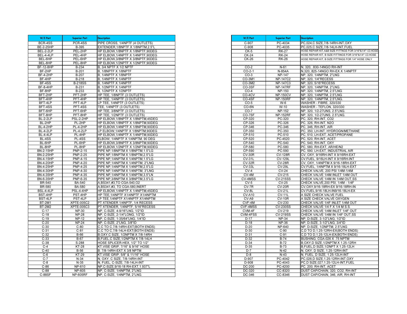| W/E Part         | <b>Superior Part</b> | <b>Description</b>                  |
|------------------|----------------------|-------------------------------------|
| BCR-4SS          | PCR-4SS              | PIPE CROSS, 1/4NPTF (4 OUTLETS)     |
| <b>BE-2-25HP</b> | B-395                | EXTENDER, 1/8NPTF X 1/8NPTM, 2.5"L  |
| BEL-2-2LP        | PEL-2HP              | HP ELBOW, 1/8NPTF X 1/8NPTF, 90DEG  |
| BEL-4-4LP        | PEL-4HP              | HP ELBOW, 1/4NPTF X 1/4NPTF, 90DEG  |
| BEL-6HP          | PEL-6HP              | HP ELBOW.3/8NPTF X 3/8NPTF.90DEG    |
| BEL-8HP          | PEL-8HP              | HP ELBOW, 1/2NPTF X 1/2NPTF, 90DEG  |
| <b>BF-12-8HP</b> | B-234                | 3/4 NPTF X 1/2 NPTF<br>В,           |
| BF-2HP           | B-201                | 1/8NPTF X 1/8NPTF<br>В.             |
| BF-4-2HP         | B-207                | 1/4NPTF X 1/8NPTF<br>В.             |
| BF-4HP           | $B-218$              | B, 1/4NPTF X 1/4NPTF                |
| BF-4SS           | <b>B-218SS</b>       | B, 1/4NPTF X 1/4NPTF                |
| <b>BF-8-4HP</b>  | B-231                | B, 1/2NPTF X 1/4NPTF                |
| BF-8HP           | $B-233$              | 1/2NPTF X 1/2NPTF<br>Β.             |
| BFT-2HP          | PFT-2HP              | HP TEE, 1/8NPTF (3 OUTLETS)         |
| BFT-4HP          | PFT-4HP              | HP TEE, 1/4NPTF (3 OUTLETS)         |
| BFT-4LP          | PFT-4LP              | LP TEE, 1/4NPTF (3 OUTLETS)         |
| BFT-4SS          | PFT-4SS              | TEE, 1/4NPTF (3 OUTLETS)            |
| BFT-6HP          | PFT-6HP              | HP TEE, 3/8NPTF (3 OUTLETS)         |
| BFT-8HP          | PFT-8HP              | HP TEE, 1/2NPTF (3 OUTLETS)         |
| <b>BL-2-2LP</b>  | PSL-2-2HP            | HP ELBOW, 1/8NPTF X 1/8NPTM, 45DEG  |
| BL-2HP           | PL-2HP               | HP ELBOW, 1/8NPTF X 1/8NPTM, 90DEG  |
| BL-4-2HP         | PL-4-2HP             | HP ELBOW, 1/4NPTF X 1/8NPTM, 90DEG  |
| <b>BL-4-2LP</b>  | PL-4-2LP             | LP ELBOW, 1/4NPTF X 1/8NPTM, 90DEG  |
| <b>BL-4-4LP</b>  | PL-4HP               | HP ELBOW, 1/4NPTF X 1/4NPTM, 90DEG  |
| BL-4SS           | PL-4SS               | ELBOW, 1/4NPTF X 1/4NPTM, 90 DEG    |
| BL-6HP           | PL-6HP               | HP ELBOW, 3/8NPTF X 3/8NPTM, 90DEG  |
| BL-8HP           | PL-8HP               | HP ELBOW, 1/2NPTF X 1/2NPTM, 90DEG  |
| <b>BN-2-15HP</b> | <b>PNP-2-15</b>      | PIPE NP, 1/8NPTM X 1/8NPTM, 1.5"LG  |
| <b>BN-2-25HP</b> | <b>PNP-2-25</b>      | PIPE NP, 1/8NPTM X 1/8NPTM, 2.5"LG  |
| <b>BN-4-15HP</b> | <b>PNP-4-15</b>      | PIPE NP, 1/4NPTM X 1/4NPTM, 1.5"LG  |
| <b>BN-4-20HP</b> | <b>PNP-4-20</b>      | PIPE NP, 1/4NPTM X 1/4NPTM, 2"LNG   |
| <b>BN-4-25HP</b> | <b>PNP-4-25</b>      | PIPE NP, 1/4NPTM X 1/4NPTM, 2.5"LG  |
| <b>BN-4-30HP</b> | PNP-4-30             | PIPE NP, 1/4NPTM X 1/4NPTM, 3"LNG   |
| <b>BN-4-35HP</b> | <b>PNP-4-35</b>      | PIPE NP, 1/4NPTM X 1/4NPTM, 3.5"LN  |
| BN-6-35HP        | PNP-6-35             | PIPE NP, 3/8NPTM X 3/8NPTM, 3.5"LG  |
| BR-540           | <b>BA-540</b>        | A, BS341, #3, TO CGA-540, O2        |
| <b>BR-580</b>    | <b>BA-580</b>        | A, BS341, #3, TO CGA-580, INERT     |
| <b>BSL-4-4LP</b> | PSL-4-4HP            | HP ELBOW, 1/4NPTF X 1/4NPTM, 45DEG  |
| BST-4HP          | PST-4HP              | HP TEE, 1/4NPTF X1/4NPTF X1/4NPTM   |
| BST-4LP          | PST-4LP              | LP TEE, 1/4NPTF X1/4NPTF X1/4NPTM   |
| <b>BT-2M1</b>    | <b>XPTE-005C2</b>    | PT XTENDER 1/4NPTF, 1/4 RECESS      |
| <b>BT-2M2</b>    | XPTE-005C3           | PT XTENDER, 1/4NPTF, 5/16"RECESS    |
| $C-17$           | <b>NP-30</b>         | NP, C-SIZE, 4-9/16"LNG, 1/2"ID      |
| $C-18$           | <b>NP-28</b>         | NP, C-SIZE, 2-1/4"LONG, 1/2"ID      |
| $C-19$           | NP-12                | NP, C-SIZE, 1-35/64"LNG, 1/4"ID     |
| $C-20$           | <b>NP-24</b>         | NP, C-SIZE, 2"LNG, 3/8"ID           |
| $C-30$           | $C-80$               | C.C TO C.7/8-14RH-EXT(BOTH ENDS)    |
| $C-31$           | $C-81$               | C,C TO C,7/8-14LH-EXT(BOTH ENDS)    |
| $C-32$           | B-66                 | B, OXY, C SIZE, 1/2NPTM X 7/8-14RH  |
| $C-33$           | B-67                 | B, FUEL, C SIZE, 1/2NPTM X 7/8-14LH |
| $C-38$           | S-288                | HOSE SPLICER-HEX, 1/2" TO 1/2"      |
| $C-4$            | $KT-28$              | KT, VISE GRIP, 7/16" & 9/16" HOSE   |
| $C-40$           | <b>B-56</b>          | B. 7/8-14RH-EXT X 3/8 NPTM          |
| $C-6$            | $KT-29$              | KT, VISE GRIP, 5/8" & 11/16" HOSE   |
| $C-7$            | $N-34$               | N, OXY, C SIZE, 7/8-14RH-INT        |
| $C-8$            | $N-35$               | N, FUEL, C-SIZE, 7/8-14LH-INT       |
| $C-86$           | NP-610               | NP, C-SIZE, 9/16-18 RH-EXT, 1.937"L |
| $C-88$           | <b>NP-605</b>        | NP, C-SIZE, 1/4NPTM, 2"LNG          |
| $C-88SF$         | <b>NP-605RF</b>      | NP, C-SIZE, 1/4NPTM, 2"LNG.         |

| W/E Part      | <b>Superior Part</b> | <b>Description</b>                                        |
|---------------|----------------------|-----------------------------------------------------------|
| C-907         | PC-4034              | PC,024,C SIZE,7/8-14RH-INT,OXY                            |
| $C-908$       | PC-4035              | PC,025,C SIZE,7/8-14LH-INT,FUEL                           |
| $CK-5$        | <b>RK-27</b>         | HOSE REPAIR KIT, A&B SIZE FITTNGS FOR 3/16"&1/4" I.D.HOSE |
| $CK-24$       | <b>RK-24</b>         | HOSE REPAIR KIT, B SIZE FITTINGS FOR 3/16"&1/4" I.D.HOSE  |
| <b>CK-26</b>  | <b>RK-26</b>         | HOSE REPAIR KIT, B SIZE FITTINGS FOR 1/4" HOSE ONLY       |
|               |                      |                                                           |
| $CO-2$        | $N-61$               | N, 320, 830-14NGO RH-INT                                  |
| $CO-2-1$      | N-854A               | N,320,.825-14NGO RH-EX X 1/4NPTF                          |
| $CO-3$        | <b>NP-147</b>        | NP, 320, 1/4NPTM, 2"LNG                                   |
| CO-3M1        | <b>NP-147C2</b>      | NP, 320, 1/4"RECESS                                       |
| CO-3M2        | <b>NP-147C3</b>      | NP, 320, 5/16"RECESS                                      |
| CO-3SF        | <b>NP-147RF</b>      | NP, 320, 1/4NPTM, 2"LNG.                                  |
| $CO-4$        | <b>NP-150</b>        | NP, 320, 1/4NPTM, 2.5"LNG                                 |
| CO-4CV        | <b>NP-150CV</b>      | NP. 320. 1/4NPTM. 2.5"LNG                                 |
| CO-4SF        | <b>NP-150RF</b>      | NP, 320, 1/4NPTM, 2.5"LNG.                                |
| $CO-5$        | W-6                  | WASHER - FIBRE, 320/330                                   |
| CO-6N         | $W-10$               | WASHER - TEFLON, 320/330                                  |
| $CO-7$        | <b>NP-152</b>        | NP, 320, 1/2-27UNS, 2.5"LNG.                              |
| CO-7SF        | <b>NP-152RF</b>      | NP, 320, 1/2-27UNS, 2.5"LNG.                              |
| CP-320        | PC-320               | PC, 320, RH-INT, CO2                                      |
| CP-326        | PC-326               | PC, 326, RH-INT, N2O                                      |
| CP-346        | PC-346               | PC, 346, RH-INT, AIR                                      |
| CP-350        | PC-350               | PC, 350, LH-INT, HYDROGN/METHANE                          |
| CP-510        | PC-510               | PC, 510, LH-EXT, ACET/PROPANE                             |
| CP-520        | PC-4520              | PC, 520, RH-INT, ACET                                     |
| CP-540        | PC-540               | PC, 540, RH-INT, OXY                                      |
| CP-580        | PC-580               | PC, 580, RH-EXT, AR/HE/N2                                 |
| CP-590        | PC-590               | PC, 590, LH-EXT, INDUSTRIAL AIR                           |
| <b>CV-30R</b> | <b>CV-128R</b>       | CV, OXY, 9/16RH-INT X 9/16RH-EXT                          |
| <b>CV-31L</b> | <b>CV-129L</b>       | CV, FUEL, 9/16LH-INT X 9/16RH-INT                         |
| $CV-32R$      | $CV-28R$             | CV, OXY, 1/4NPTM X 9/16-18RH-EXT                          |
| <b>CV-33L</b> | <b>CV-29L</b>        | CV, FUEL, 1/4NPTM X 9/16-18LH-EXT                         |
| $CV-4$        | $CV-24$              | CHECK VALVE, 200 PSI 1/4M-1/4M                            |
| $CV-4M$       | $CV-215$             | CHECK VALVE 1/4M INLET 1/4M OUT                           |
| CV-4MSS       | <b>CV-215SS</b>      | CHECK VALVE 1/4M IN 1/4M OUT.SS                           |
| $CV-5$        | <b>CV-25</b>         | CHECK VALVE, 200 PSI, 1/4M - 1/4F                         |
| CV-7R         | $CV-20R$             | CV, OXY, 9/16-18RH-EX 9/16-18RH-IN                        |
| CV-8L         | <b>CV-21L</b>        | CV, FUEL, 9/16-18LH-IN9/16-18LH-EX                        |
| $CV- A10$     | $CV-11L$             | A SIZE CHECK VALVE FUEL                                   |
| CV-A9         | <b>CV-10R</b>        | A SIZE CHECK VALVE OXYGEN                                 |
| CVF-4M        | CV-230               | CHECK VALVE 1/4F INLET 1/4M OUT                           |
| CVF-4MSS      | <b>CV-230SS</b>      | CHECK VALVE 1/4 F X 1/4 M S.S.                            |
| CVM-4F        | CV-219               | CHECK VALVE 1/4M INLET 1/4F OUT                           |
| CVM-4FSS      | <b>CV-219SS</b>      | CHECK VALVE 1/4M IN 1/4F OUT, SS                          |
| $D-17$        | <b>NP-34</b>         | NP, D-SIZE, 3-1/2"LNG, 1/2"ID                             |
| $D-18$        | <b>NP-36</b>         | NP, D-SIZE, 3-1/2"LNG, 3/4"ID                             |
| $D-20$        | <b>NP-640</b>        | NP, D-SIZE, 1/2NPTM, 2.5"LNG                              |
| $D-30$        | $C-90$               | C,D TO D, 1.25-12RH-EX(BOTH ENDS)                         |
| $D-31$        | $C-91$               | C,D TO D,1.25-12LH-EX(BOTH ENDS)                          |
| $D-32$        | $B-74$               | BUSHING, CGA-026 X .75 NPTM                               |
| $D-34$        | $B-72$               | B, OXY, D SIZE, 1/2NPTM X 1.25-12RH                       |
| $D-35$        | <b>B-73</b>          | B, FUEL, D SIZE, 1/2NPT X 1.25-12LH                       |
| $D-7$         | $N-42$               | N, OXY, D SIZE, 1.25-12RH-INT                             |
| $D-8$         | $N-43$               | N, FUEL, D SIZE, 1.25-12LH-INT                            |
| D-907         | PC-4042              | PC,026,D SIZE,1.25-12RH-INT,OXY                           |
| D-908         | PC-4043              | PC,D SIZE,027,1.25-12LH-INT,FUEL                          |
| DC-200        | PC-4200              | PC, 200, RH-INT, ACET                                     |
| DC-320        | CC-8320              | DUST CAP/CHAIN, 320, CO2, RH-INT                          |
| DC-346        | CC-8346              | DUST CAP/CHAIN, 346, AIR, RH-INT                          |
|               |                      |                                                           |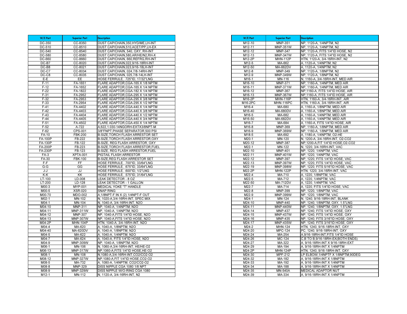| W/E Part        | <b>Superior Part</b>      | <b>Description</b>                                            |
|-----------------|---------------------------|---------------------------------------------------------------|
| DC-350          | CC-8350                   | DUST CAP/CHAIN, 350, HYD/ME, LH-INT                           |
| DC-510          | CC-8510                   | DUST CAP/CHAIN, 510, ACET/PP, LH-EX                           |
| DC-540          | CC-8540                   | DUST CAP/CHAIN, 540, OXY, RH-INT                              |
| DC-580          | CC-8580                   | DUST CAP/CHAIN, 580, AR/HE/N2, RH-X                           |
| DC-660          | CC-8660                   | DUST CAP/CHAIN, 660, REFRG, RH-INT                            |
| $DC-B7$         | CC-8020                   | DUST CAP/CHAIN, 022, 9/16-18RH-INT                            |
| DC-B8           | CC-8021                   | DUST CAP/CHAIN, 023, 9/16-18LH-INT                            |
| DC-C7           | CC-8034                   | DUST CAP/CHAIN, 024,7/8-14RH-INT                              |
| DC-C8           | CC-8035                   | DUST CAP/CHAIN, 025,7/8-14LH-INT                              |
| E-E             | EE                        | HOSE FERRULE, .725"ID, 17/32"LNG                              |
| $F-11$          | FA-1651                   | FLARE ADAPTOR, CGA-165 X 1/8 NPTM                             |
| $F-12$          | FA-1652                   | FLARE ADAPTOR, CGA-165 X 1/4 NPTM                             |
| $F-22$          | FA-1822                   | FLARE ADAPTOR, CGA-182 X 1/4 NPTM                             |
| $F-31$          | FA-2952                   | FLARE ADAPTOR, CGA-295 X 1/4 NPTM                             |
| $F-32$          | FA-2953                   | FLARE ADAPTOR, CGA-295 X 3/8 NPTM                             |
| $F-33$          | FA-2954                   | FLARE ADAPTOR, CGA-295 X 1/2 NPTM                             |
| $F-41$          | FA-4402                   | FLARE ADAPTOR, CGA-440 X 1/4 NPTM                             |
| $F-42$          | FA-4403                   | FLARE ADAPTOR, CGA-440 X 3/8 NPTM                             |
| $F-43$          | FA-4404                   | FLARE ADAPTOR, CGA-440 X 1/2 NPTM                             |
| $F-44$          | FA-4405                   | FLARE ADAPTOR, CGA-440 X 3/4 NPTM                             |
| $F-51$          | FA-4502                   | FLARE ADAPTOR, CGA-450 X 1/4 NPTM                             |
| $F-52$          | A-722                     | A,622,1.030-14NGORH-EXTX3/8NPT-M                              |
| $F-62$          | CPS-001                   | 3/8"FNPT, PHASE SEPARATOR, 500 PSI                            |
| $FA-10$         | <b>FBK-200</b>            | <b>B-SIZE, TORCH FLASH ARRESTOR SET</b>                       |
| <b>FA-100P</b>  | FB-222                    | B-SIZE, TORCH FLASH ARRESTOR, OXY                             |
| <b>FA-130P</b>  | FB-122                    | B-SIZE, REG FLASH ARRESTOR, OXY                               |
| <b>FA-200P</b>  | FB-223                    | <b>B-SIZE, TORCH FLASH ARRESTOR, FUEL</b>                     |
| <b>FA-230P</b>  | FB-123                    | B-SIZE, REG FLASH ARRESTOR, FUEL                              |
| $FA-3$          | <b>XPTA-001</b>           | PIGTAIL FLASH ARRESTOR                                        |
| <b>FA-30</b>    | <b>FBK-100</b>            | <b>B-SIZE, REG FLASH ARRESTOR SET</b>                         |
| F-F             | FF                        | HOSE FERRULE, .700"ID, 33/64"LNG                              |
| G-G             | GG                        | HOSE FERRULE, .675"ID, 33/64"LNG                              |
| J-J             | JJ                        | HOSE FERRULE, .600"ID, 1/2"LNG                                |
| K-K             | KK                        | HOSE FERRULE, .575"ID, 31/64"LNG                              |
| LT-100          | LD-008                    | LEAK DETECTOR - 8 OZ                                          |
| LT-200          | LD-128                    | LEAK DETECTOR - 1 GALLON                                      |
| M00-3           | MYP-001                   | <b>MEDICAL YOKE "T" HANDLE</b>                                |
| M00-5           | <b>XSR-020</b>            | <b>SNAP RING</b>                                              |
| M00-70          | <b>MDO-002</b>            | A, 1/8NPT-F IN X (2) 1/4NPT-F OUT                             |
| M02-1           | MN-102                    | N, 1020-A, 3/4-16RH-INT, SPEC MIX                             |
| M04-1           | MN-104                    | N, 1040-A, 3/4-16RH-INT, N2O                                  |
| M04-10          | <b>MNP-311</b>            | NP, 1040-A, 1/4NPTM, N2O                                      |
| $M04-11$        | <b>MNP-311W</b>           | NP, 1040-A, 1/4NPTM, N2O                                      |
| M04-12          | <b>MNP-307</b>            | NP, 1040-A, FITS 1/4"ID HOSE, N2O                             |
| $M04-13$        | <b>MNP-307W</b>           | NP, 1040-A, FITS 1/4"ID HOSE, N2O                             |
| $M04-2P$        | <b>MHN-104P</b>           | HTN, 1040-A, 3/4-16RH-INT, N2O                                |
| M04-4<br>M04-40 | MA-620<br><b>MA-620DV</b> | A, 1040-A, 1/8NPTM, N2O<br>A, 1040-A, 1/8NPTM, N2O            |
|                 |                           |                                                               |
| M04-5<br>M04-7  | MA-622                    | A, 1040-A, 1/4NPTM, N2O                                       |
|                 | MA-624                    | A, 1040-A, FITS 1/4"ID HOSE, N2O                              |
| M04-9<br>M06-1  | <b>MNP-309W</b><br>MN-106 | NP, 1040-A, 1/8NPTM, N2O<br>N, 1060-A, 3/4-16RH-INT, HE/HE-O2 |
| M06-13          | <b>MNP-317W</b>           | NP, 1060-A, FITS 1/4"ID HOSE, HE-O2                           |
| M08-1           | MN-108                    | N, 1080-A, 3/4-16RH-INT, CO2/CO2-O2                           |
| M08-12          | <b>MNP-327W</b>           | NP, 1080-A, FIT 1/4"ID HOSE, CO2-O2                           |
| $M08-5$         | MA-732                    | A, 1080-A, 1/4NPTM, CO2/CO2-O2                                |
| M08-8           | MNP-329                   | DISS NIPPLE CGA 1080 1/8 NPT                                  |
| M08-9           | <b>MNP-329W</b>           | DISS NIPPLE W/O-RING CGA 1080                                 |
| $M12-1$         | <b>MN-112</b>             | N, 1120-A, 3/4-16RH-INT, N2                                   |
|                 |                           |                                                               |

| W/E Part             | <b>Superior Part</b>              | <b>Description</b>                                                  |
|----------------------|-----------------------------------|---------------------------------------------------------------------|
| M12-10               | <b>MNP-351</b>                    | NP, 1120-A, 1/4NPTM, N2                                             |
| $\overline{M}$ 12-11 | <b>MNP-351W</b>                   | NP, 1120-A, 1/4NPTM, N2                                             |
| M12-12               | <b>MNP-347</b>                    | NP, 1120-A, FITS 1/4"ID HOSE, N2                                    |
| $M12-13$             | <b>MNP-347W</b>                   | NP, 1120-A, FITS 1/4"ID HOSE, N2                                    |
| $M12-2P$             | <b>MHN-112P</b>                   | HTN, 1120-A, 3/4-16RH-INT, N2                                       |
| $M12-5$              | MA-662                            | A, 1120-A, 1/4NPTM, N2                                              |
| M12-50               | <b>MA-662DV</b>                   | A, 1120-A, 1/4NPTM, N2                                              |
| M12-8                | <b>MNP-349</b><br><b>MNP-349W</b> | NP, 1120-A, 1/8NPTM, N2                                             |
| M12-9<br>M16-1       | MN-116                            | NP, 1120-A, 1/8NPTM, N2<br>N, 1160-A, 3/4-16RH-INT, MED AIR         |
| M16-10               | <b>MNP-371</b>                    | NP, 1160-A, 1/4NPTM, MED AIR                                        |
| M16-11               | <b>MNP-371W</b>                   | NP, 1160-A, 1/4NPTM, MED AIR                                        |
| M16-12               | <b>MNP-367</b>                    | NP, 1160-A, FITS 1/4"ID HOSE, AIR                                   |
| M16-13               | <b>MNP-367W</b>                   | NP, 1160-A, FITS 1/4"ID HOSE, AIR                                   |
| M16-2P               | <b>MHN-116P</b>                   | HTN, 1160-A, 3/4-16RH-INT, AIR                                      |
| M16-2PC              | <b>MHN-116PC</b>                  | HTN, 1160-A, 3/4-16RH-INT, AIR                                      |
| M16-4                | MA-680                            | A, 1160-A, 1/8NPTM, MED AIR                                         |
| M16-40               | <b>MA-680DV</b>                   | 1160-A, 1/8NPTM, MED AIR<br>A,                                      |
| M16-5                | MA-682                            | A, 1160-A, 1/4NPTM, MED AIR                                         |
| M16-50               | <b>MA-682DV</b>                   | A, 1160-A, 1/4NPTM, MED AIR                                         |
| M16-7                | MA-684                            | A, 1160-A, FITS 1/4"ID HOSE, AIR                                    |
| M16-8                | <b>MNP-369</b>                    | NP, 1160-A, 1/8NPTM, MED AIR                                        |
| M16-9                | MNP-369W                          | NP, 1160-A, 1/8NPTM, MED AIR                                        |
| $M18-5$              | MA-692                            | A, 1180-A, 1/4NPTM, O2-HE                                           |
| M20-1                | MN-120                            | N, 1200-A, 3/4-16RH-INT, O2-CO2                                     |
| $M20-12$             | <b>MNP-387</b>                    | NP,1200-A,FIT 1/4"ID HOSE, O2-CO2                                   |
| $M22-1$              | <b>MN-122</b>                     | N, 1220, 3/4-16RH-INT, VAC                                          |
| M22-10               | <b>MNP-401</b>                    | NP, 1220, 1/4NPTM, VAC                                              |
| M22-11               | <b>MNP-401W</b>                   | NP, 1220, 1/4NPTM, VAC                                              |
| M22-12               | <b>MNP-397</b><br><b>MNP-397W</b> | NP, 1220, FITS 1/4"ID HOSE, VAC                                     |
| M22-13<br>M22-19     | <b>MNP-398W</b>                   | NP, 1220, FITS 1/4"ID HOSE, VAC<br>NP, 1220, FITS 5/16"ID HOSE, VAC |
| M22-2P               | <b>MHN-122P</b>                   | HTN, 1220, 3/4-16RH-INT, VAC                                        |
| $M22-4$              | MA-710                            | A, 1220, 1/8NPTM, VAC                                               |
| M22-5                | MA-712                            | A, 1220, 1/4NPTM, VAC                                               |
| M22-50               | <b>MA-712DV</b>                   | A, 1220, 1/4NPTM, VAC                                               |
| $M22-7$              | MA-714                            | , 1220, FITS 1/4"ID HOSE, VAC                                       |
| M22-8                | MNP-399                           | NP, 1220, 1/8NPTM, VAC                                              |
| $M22-9$              | <b>MNP-399W</b>                   | NP, 1220, 1/8NPTM, VAC                                              |
| M24-1                | MN-124                            | N, 1240, 9/16-18RH-INT, BLANK                                       |
| M24-10               | <b>MNP-440</b>                    | NP, 1240, 1/8NPTM, OXY, 1.5"LNG                                     |
| M24-11               | <b>MNP-440W</b>                   | NP, 1240, 1/8NPTM, OXY, 1.5"LNG                                     |
| M24-14               | <b>MNP-437</b>                    | NP, 1240, FITS 1/4"ID HOSE, OXY                                     |
| M24-15               | <b>MNP-437W</b>                   | NP, 1240, FITS 1/4"ID HOSE, OXY                                     |
| M24-16               | MNP-435                           | NP, 1240, FITS 3/16"ID HOSE, OXY                                    |
| $M24-17$             | <b>MNP-435W</b>                   | NP, 1240, FITS 3/16"ID HOSE, OXY                                    |
| M24-2                | MHN-124                           | HTN, 1240, 9/16-18RH-INT, OXY                                       |
| M24-20               | <b>MPC-124</b>                    | PC, 1240, 9/16-18RH-INT, OXY                                        |
| M24-24               | MA-254                            | A, 9/16-18RH-INT, FITS 1/4"ID HOSE                                  |
| M24-26               | MC-124                            | C,B TO B, 9/16-18RH-EX(BOTH ENDS)                                   |
| M24-27<br>M24-29     | MA-322                            | A, 9/16-18RH-INT X 9/16-18RH-EXT                                    |
| $M24-2P$             | MA-194<br><b>MHN-124P</b>         | A, 9/16-18RH-INT X 1/4NPTM<br>HTN, 1240, 9/16-18RH-INT, OXY         |
| M24-30               | MPF-212                           | LP ELBOW, 1/4NPTF X 1/8NPTM, 90DEG                                  |
| M24-32               | MA-182                            | A, 9/16-18RH-INT X 1/8NPTM                                          |
| M24-33               | MA-192                            | A. 9/16-18RH-INT X 1/4NPTM                                          |
| M24-34               | MA-188                            | A, 9/16-18RH-INT X 1/4NPTM                                          |
| M24-35               | <b>MN-540A</b>                    | MEDICAL ADAPTOR NUT                                                 |
| M24-39               | MA-334                            | A, 9/16-18RH-INT X 1/4NPTM                                          |
|                      |                                   |                                                                     |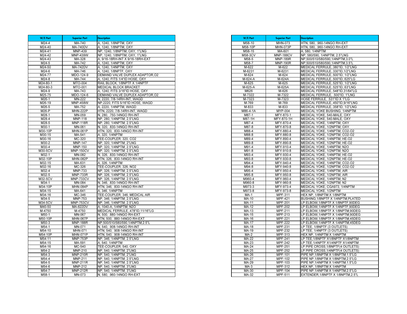| W/E Part             | <b>Superior Part</b>             | <b>Description</b>                                    |
|----------------------|----------------------------------|-------------------------------------------------------|
| $M24-4$              | MA-740                           | A, 1240, 1/8NPTM, OXY                                 |
| M24-40               | <b>MA-740DV</b>                  | A, 1240, 1/8NPTM, OXY                                 |
| M24-41               | <b>MNP-439</b>                   | NP, 1240, 1/8NPTM, OXY, 1"LNG                         |
| M24-42               | <b>MNP-439W</b>                  | NP, 1240, 1/8NPTM, OXY, 1"LNG                         |
| M24-43               | MA-328                           | A, 9/16-18RH-INT X 9/16-18RH-EXT                      |
| M24-5                | MA-742                           | A, 1240, 1/4NPTM, OXY                                 |
| M24-50               | <b>MA-742DV</b>                  | A, 1240, 1/4NPTM, OXY                                 |
| M24-6                | MA-746                           | A. 1240. 1/8NPTF. OXY                                 |
| M24-77               | MDO-124-9                        | DEMAND VALVE DUPLEX ADAPTOR, 02                       |
| M24-8                | MA-744                           | A, 1240, FITS 1/4"ID HOSE, OXY                        |
| M24-80-1             | <b>MTO-004</b>                   | RAIL BLOCK, 1/8NPTF X 1/4NPTF                         |
| M24-80-3             | MTO-001                          | MEDICAL BLOCK BRACKET                                 |
| M24-9                | MA-743                           | A, 1240, FITS 3/16"ID HOSE, OXY                       |
| M25-75               | MDO-124-6                        | DEMAND VALVE DUPLEX ADAPTOR, O2                       |
| M26-1                | MN-222                           | N, 2220, 7/8-14RH-INT, WAGD                           |
| M26-19               | <b>MNP-458W</b>                  | NP,2220, FITS 5/16"ID HOSE, WAGD                      |
| M26-5                | MA-752                           | A, 2220, 1/4NPTM, WAGD                                |
| M26-P                | <b>MHN-222P</b>                  | HTN, 2220, 7/8-14RH-INT, WAGD                         |
| M28-1                | MN-059                           | N, 280, .750-14NGO RH-INT                             |
| M28-4                | <b>MNP-118</b>                   | NP, 280, 1/4NPTM, 2.5"LNG                             |
| M28-5                | <b>MNP-118R</b>                  | NP, 280, 1/4NPTM, 2.5"LNG                             |
| M30-1                | MN-061                           | N, 320, 830-14NGO RH-INT                              |
| M30-10P              | <b>MHN-061P</b>                  | HTN, 320, 830-14NGO RH-INT                            |
| M30-15               | MA-541                           | A, 320, 1/4NPTM                                       |
| M30-16               | MC-320                           | TEE-COUPLER, 320, CO2                                 |
| M30-2<br>M30-4       | <b>MNP-147</b><br><b>MNP-150</b> | NP, 320, 1/4NPTM, 2"LNG<br>NP, 320, 1/4NPTM, 2.5"LNG  |
| M30-5CV              | <b>MNP-150CV</b>                 |                                                       |
| M32-1                | MN-082                           | NP, 320, 1/4NPTM, 2.5"LNG<br>N, 326, 830-14NGO RH-INT |
| M32-10P              | <b>MHN-082P</b>                  | HTN, 326, 830-14NGO RH-INT                            |
| M32-15               | MA-631                           | A, 326, 1/4NPTM                                       |
| M32-16               | MC-326                           | TEE-COUPLER, 326, NO2                                 |
| M32-4                | <b>MNP-733</b>                   | NP, 326, 1/4NPTM, 2.5"LNG                             |
| M32-5                | <b>MNP-733R</b>                  | NP, 326, 1/4NPTM, 2.5"LNG                             |
| M32-5CV              | <b>MNP-733CV</b>                 | NP, 326, 1/4NPTM, 2.5"LNG                             |
| M34-1                | MN-084                           | N, 346, 830-14NGO RH-INT                              |
| M34-10P              | <b>MHN-084P</b>                  | HTN, 346, .830-14NGO RH-INT                           |
| M34-15               | MA-641                           | A, 346, 1/4NPTM                                       |
| M34-16               | MC-346                           | TEE-COUPLER, 346, MEDICAL AIR                         |
| M34-5                | <b>MNP-753</b>                   | NP, 346, 1/4NPTM, 2.5"LNG                             |
| M34-5CV              | MNP-753CV                        | NP, 346, 1/4NPTM, 2.5"LNG                             |
| M40-50               | <b>MA-622DV</b>                  | A, 1040-A, 1/4NPTM, N2O                               |
| M-4750               | M-4750                           | MEDICAL FERRULE, 478"ID, 11/16"LG                     |
| M50-1                | MN-067                           | N, 500, 880-14NGO RH-EXT                              |
| M50-10P              | <b>MHN-067P</b>                  | HTN, 500, .880-14NGO RH-EXT                           |
| M50-3                | <b>MNP-188R</b>                  | NP,500/510/580/590,1/4NPTM,2.5"L                      |
| M54-1                | MN-071                           | N. 540. . 908-14NGO RH-INT                            |
| M54-10               | MHN-071                          | HTN, 540, 908-14NGO RH-INT                            |
| M54-10P              | <b>MHN-071P</b>                  | HTN, 540, .908-14NGO RH-INT                           |
| M54-11               | <b>MNP-753P</b>                  | NP, 346, 1/4NPTM, 2.5"LNG                             |
| $\overline{M}$ 54-15 | MA-591                           | A, 540, 1/4NPTM                                       |
| M54-16               | MC-540                           | TEE-COUPLER, 540, OXY                                 |
| M54-2                | MNP-210                          | NP, 540, 1/4NPTM, 2"LNG                               |
| M54-3                | <b>MNP-210R</b>                  | NP, 540, 1/4NPTM, 2"LNG                               |
| M54-4                | <b>MNP-211</b>                   | NP, 540, 1/4NPTM, 2.5"LNG                             |
| $M54-5$              | <b>MNP-211R</b>                  | NP, 540, 1/4NPTM, 2.5"LNG                             |
| M54-6                | <b>MNP-212</b>                   | NP, 540, 1/4NPTM, 3"LNG                               |
| M54-7                | <b>MNP-212R</b>                  | NP, 540, 1/4NPTM, 3"LNG                               |
| M58-1                | MN-073                           | N, 580, .960-14NGO RH-EXT                             |

| W/E Part             | <b>Superior Part</b>   | <b>Description</b>                                            |
|----------------------|------------------------|---------------------------------------------------------------|
| $\overline{M}$ 58-10 | <b>MHN-073</b>         | HTN, 580, .960-14NGO RH-EXT                                   |
| M58-10P              | <b>MHN-073P</b>        | HTN, 580, .960-14NGO RH-EXT                                   |
| M58-15               | MA-601                 | A, 580, 1/4NPTM                                               |
| M58-3CV              | <b>MNP-188CV</b>       | NP, 580/590, 1/4NPTM, 2.5"LNG                                 |
| M58-5                | <b>MNP-189R</b>        | NP,500/510/580/590,1/4NPTM,3.0"L                              |
| M58-7                | <b>MNP-190R</b>        | NP,500/510/580/590,1/4NPTM,3.5"L                              |
| M-622                | M-622                  | MEDICAL FERRULE, 380"ID, 1/2"LNG                              |
| M-6231               | M-6231                 | MEDICAL FERRULE,.330"ID,1/2"LNG                               |
| M-624                | M-624                  | MEDICAL FERRULE, 500"ID, 1/2"LNG                              |
| M-624-A              | M-624A                 | MEDICAL FERRULE, 500"ID, 625"LG                               |
| M-625                | M-625                  | MEDICAL FERRULE, 525"ID, 1/2"LNG                              |
| M-625-A              | M-625A                 | MEDICAL FERRULE, 525"ID, 63"LNG                               |
| M626                 | M-626                  | MEDICAL FERRULE, 548"ID, 31/64"LG                             |
| M-7322               | M-7322                 | MEDICAL FERRULE, .500"ID, 1"LNG                               |
| M-7323               | M-7323                 | HOSE FERRULE, .531"ID X 1"LG                                  |
| M-769                | M-769                  | MEDICAL FERRULE, 450"ID, 9/16"LNG                             |
| M-833                | M-833                  | MEDICAL FERRULE, 358"ID, 1/2"LNG                              |
| M86-4-1A             | <b>MYP-004</b>         | MEDICAL YOKE BUSHING, 1/4NPTM                                 |
| M87-1                | MFY-870-1              | MEDICAL YOKE, 540-MALE, OXY                                   |
| M87-1H               | MFY-870-1H             | MEDICAL YOKE, 540-MALE, OXY                                   |
| M87-4                | MFY-870-4              | MEDICAL YOKE, 1/4NPTM, OXY                                    |
| M87-8                | MFY-870-8              | MEDICAL YOKE, 1/2NPTM, OXY                                    |
| M88-4                | MFY-880-4              | MEDICAL YOKE, 1/4NPTM, CO2-O2                                 |
| M88-8                | MFY-880-8              | MEDICAL YOKE, 1/2NPTM, CO2-O2                                 |
| M89-4                | MFY-890-4              | MEDICAL YOKE, 1/4NPTM, HE-O2                                  |
| M89-8                | MFY-890-8              | MEDICAL YOKE, 1/2NPTM, HE-O2                                  |
| M91-4                | MFY-910-4              | MEDICAL YOKE, 1/4NPTM, N2O                                    |
| M91-8                | MFY-910-8              | MEDICAL YOKE, 1/2NPTM, N2O                                    |
| M93-4                | MFY-930-4              | MEDICAL YOKE, 1/4NPTM, HE-O2                                  |
| M93-8<br>M94-4       | MFY-930-8<br>MFY-940-4 | MEDICAL YOKE, 1/2NPTM, HE-O2<br>MEDICAL YOKE, 1/4NPTM, CO2-O2 |
| M94-8                | MFY-940-8              | MEDICAL YOKE, 1/2NPTM, CO2-O2                                 |
| M95-4                | MFY-950-4              | MEDICAL YOKE, 1/4NPTM, AIR                                    |
| M95-8                | MFY-950-8              | MEDICAL YOKE, 1/2NPTM, AIR                                    |
| M960-4               | MFY-960-4              | MEDICAL YOKE, 1/4NPTM, N2                                     |
| M960-8               | MFY-960-8              | MEDICAL YOKE, 1/2NPTM, N2                                     |
| M973-3               | MFY-973-4              | MEDICAL YOKE, CGA973, 1/4NPTM                                 |
| M973-8               | MFY-973-8              | MEDICAL YOKE, 1/2NPTM                                         |
| $MA-1$               | <b>MPF-311</b>         | HEX NP, 1/8NPTM X 1/8NPTM                                     |
| MA-10                | MPF-421                | BUSHING, 1/8NPTF X 1/4NPTM, PLATED                            |
| MA-11                | <b>MPF-201</b>         | LP ELBOW, 1/8NPTF X 1/8NPTF, 90DEG                            |
| MA-12                | <b>MPF-202</b>         | LP ELBOW, 1/4NPTF X 1/4NPTF, 90DEG                            |
| MA-13                | MPF-211                | LP ELBOW, 1/8NPTF X 1/8NPTM, 90DEG                            |
| MA-15                | MPF-213                | LP ELBOW, 1/4NPTF X 1/4NPTM, 90DEG                            |
| MA-16                | <b>MPF-221</b>         | LP ELBOW, 1/8NPTF X 1/8NPTM, 45DEG                            |
| MA-17                | <b>MPF-222</b>         | LP ELBOW, 1/4NPTF X 1/4NPTM, 45DEG                            |
| MA-18                | <b>MPF-231</b>         | LP TEE, 1/8NPTF (3 OUTLETS)                                   |
| MA-19                | <b>MPF-232</b>         | LP TEE, 1/4NPTF (3 OUTLETS)                                   |
| $MA-2$               | MPF-313                | HEX NP, 1/4NPTM X 1/4NPTM                                     |
| MA-22                | <b>MPF-241</b>         | LP TEE, 1/8NPTF X1/8NPTF X1/8NPTM                             |
| MA-23                | <b>MPF-242</b>         | LP TEE.1/4NPTF X1/4NPTF X1/4NPTM                              |
| <b>MA-24</b>         | <b>MPF-251</b>         | LP PIPE CROSS, 1/8NPTF(4 OUTLETS)                             |
| MA-25                | <b>MPF-252</b>         | LP PIPE CROSS, 1/4NPTF(4 OUTLETS)                             |
| MA-26                | MPF-101                | PIPE NP, 1/8NPTM X 1/8NPTM, 1.5"LG                            |
| <b>MA-27</b>         | MPF-102                | PIPE NP, 1/8NPTM X 1/8NPTM, 2.5"LG                            |
| MA-29                | MPF-103                | PIPE NP, 1/4NPTM X 1/4NPTM, 1.5"LG                            |
| $MA-3$               | MPF-312                | HEX NP, 1/8NPTM X 1/4NPTM                                     |
| MA-30                | MPF-104                | PIPE NP, 1/4NPTM X 1/4NPTM, 2.5"LG                            |
| MA-32                | <b>MPF-511</b>         | EXTENDER, 1/8NPTF X 1/8NPTM, 2.5"L                            |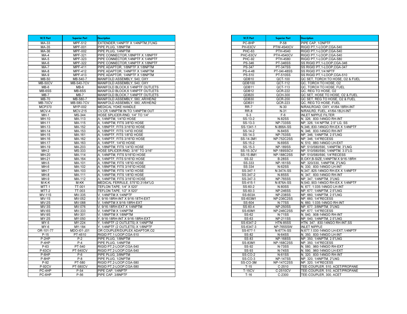| W/E Part              | <b>Superior Part</b>        | <b>Description</b>                                            |
|-----------------------|-----------------------------|---------------------------------------------------------------|
| MA-33                 | <b>MPF-512</b>              | EXTENDER.1/4NPTF X 1/4NPTM.3"LNG                              |
| MA-35                 | MPF-001                     | PIPE PLUG, 1/8NPTM                                            |
| MA-36                 | <b>MPF-002</b>              | PIPE PLUG, 1/4NPTM                                            |
| $MA-4$                | MPF-321                     | PIPE CONNECTOR, 1/8NPTF X 1/8NPTF                             |
| $MA-5$                | MPF-323                     | PIPE CONNECTOR, 1/4NPTF X 1/4NPTF                             |
| $MA-6$                | <b>MPF-322</b>              | PIPE CONNECTOR, 1/4NPTF X 1/8NPTF                             |
| MA-7                  | <b>MPF-411</b>              | PIPE ADAPTOR, 1/8NPTF X 1/8NPTM                               |
| $MA-8$                | <b>MPF-412</b>              | PIPE ADAPTOR, 1/4NPTF X 1/4NPTM                               |
| MA-9                  | <b>MPF-413</b>              | PIPE ADAPTOR, 1/4NPTF X 1/8NPTM                               |
| <b>MB-50</b>          | MB-540-7                    | MANIFOLD ASSEMBLY, 540, OXY                                   |
| <b>MB-50CV</b>        | MB-540-7CV                  | MANIFOLD ASSEMBLY, 540, OXY                                   |
| $MB-6$                | $MB-6$                      | MANIFOLD BLOCK,6 1/4NPTF OUTLETS                              |
| MB-6SS                | MB-6SS                      | MANIFOLD BLOCK, 6 1/4NPTF OUTLETS                             |
| $MB-7$                | $MB-7$                      | MANIFOLD BLOCK, 7 1/4NPTF OUTLETS                             |
| <b>MB-70</b>          | MB-580-7                    | MANIFOLD ASSEMBLY, 580, AR/HE/N2                              |
| MB-70CV               | MB-580-7CV                  | MANIFOLD ASSEMBLY, 580, AR/HE/N2                              |
| <b>MCP370</b>         | <b>MYP-002</b>              | <b>MEDICAL YOKE HANDLE</b>                                    |
| MCV-4                 | <b>MCV-215</b>              | CV, CR, 1/4NPTM IN TO 1/4NPTM OUT                             |
| $MH-1$                | MS-344                      | HOSE SPLICER-RND, 1/4" TO 1/4"                                |
| $MH-10$               | MA-113                      | A, 1/4NPTM, 1/4"ID HOSE                                       |
| MH-11                 | MA-115                      | A, 1/4NPTM, FITS 3/8"ID HOSE                                  |
| MH-13<br><b>MH-14</b> | MA-152                      | 1/8NPTF, FITS 3/16"ID HOSE                                    |
| MH-15                 | MA-153                      | A, 1/8NPTF, FITS 1/4"ID HOSE                                  |
| MH-16                 | MA-161<br>MA-162            | A, 1/4NPTF, FITS 1/8"ID HOSE<br>A, 1/4NPTF, FITS 3/16"ID HOSE |
| $MH-17$               | MA-163                      | A, 1/4NPTF, 1/4"ID HOSE                                       |
| MH-19                 | MA-203                      | A, 1/8NPTM, FITS 1/4"ID HOSE                                  |
| $MH-2$                | MS-333                      | HOSE SPLICER-RND, 3/16" TO 3/16"                              |
| MH-20                 | MA-114                      | A, 1/4NPTM, FITS 5/16"ID HOSE                                 |
| $MH-21$               | MA-164                      | A, 1/4NPTF, FITS 5/16"ID HOSE                                 |
| $MH-5$                | MA-101                      | 1/8NPTM, FITS 1/8"ID HOSE<br>А.                               |
| MH-6                  | MA-102                      | A, 1/8NPTM, FITS 3/16"ID HOSE                                 |
| $MH-7$                | MA-103                      | A, 1/8NPTM, FITS 1/4"ID HOSE                                  |
| $MH-8$                | MA-111                      | A, 1/4NPTM, FITS 1/8"ID HOSE                                  |
| MH-9                  | MA-112                      | 1/4NPTM, FITS 3/16"ID HOSE                                    |
| M-K-K                 | M-KK                        | MEDICAL FERRULE, 575"ID, 31/64"LG                             |
| $MTT-1$               | TT-001                      | TEFLON TAPE, 1/4" X 520"                                      |
| MTT-2                 | TT-003                      | TEFLON TAPE, 1/2" X 520"                                      |
| $MV-11S$              | MV-335                      | V, 1/4NPTM X 1/4NPTF                                          |
| $MV-1S$               | MV-052                      | V, 9/16-18RH-INT X 9/16-18TH-EXT                              |
| $MV-2S$               | MV-088                      | V, 1/4NPTM X 9/16-18RH-EXT                                    |
| $MV-3S$               | $\overline{\text{MV}}$ -076 | V, 9/16-18RH-EXT X 1/4NPTM                                    |
| MV-6S                 | MV-333                      | V, 1/4NPTM X 1/4NPTM                                          |
| MV-9S                 | MV-301                      | 1/8NPTM X 1/8NPTM                                             |
| $MY-2S$               | MY-050                      | Y, 9/16-18RH-INT X 9/16-18RH-EXT                              |
| $MY-5$                | MY-224                      | Y, 1/4NPTF (2 OUTLETS) X 1/4NPTM                              |
| MY-6                  | MY-184                      | Y, 1/4NPTF (2 OUTLETS) X 1/8NPTF                              |
| OR-101-77             | MDO-101-J01                 | OR COUPLER/DUPLEX ADAPTOR, 02                                 |
| $P-15$                | PT-4510                     | RIGID PT, 1-LOOP, CGA-510                                     |
| $P-2HP$               | $P-2$                       | PIPE PLUG, 1/8NPTM                                            |
| $P-4HP$               | $P-4$                       | PIPE PLUG. 1/4NPTM                                            |
| $P-63$                | PT-540                      | RIGID PT,2-LOOP,CGA-540                                       |
| <b>P-63CV</b>         | <b>PT-540CV</b>             | RIGID PT,2-LOOP,CGA-540                                       |
| P-6HP                 | $P-6$                       | PIPE PLUG, 3/8NPTM                                            |
| $P-8HP$               | $P-8$                       | PIPE PLUG, 1/2NPTM                                            |
| $P-92$                | PT-580                      | RIGID PT,2-LOOP,CGA-580                                       |
| <b>P-92CV</b>         | <b>PT-580CV</b>             | RIGID PT,2-LOOP,CGA-580                                       |
| PC-4HP                | $P-54$                      | PIPE CAP, 1/4NPTF                                             |
| PC-6HP                | $P-56$                      | PIPE CAP, 3/8NPTF                                             |

| W/E Part                | <b>Superior Part</b>               | <b>Description</b>                                              |
|-------------------------|------------------------------------|-----------------------------------------------------------------|
| PC-8HP                  | $P-58$                             | PIPE CAP, 1/2NPTF                                               |
| PH-63CV                 | <b>PTW-4540CV</b>                  | RIGID PT, 1-LOOP, CGA-540                                       |
| <b>PHC-63</b>           | PTH-4540                           | RIGID PT, 1-LOOP, CGA-540                                       |
| PHC-63CV                | <b>PTH-4540CV</b>                  | RIGID PT, 1-LOOP, CGA-540                                       |
| <b>PHC-92</b>           | PTH-4580                           | RIGID PT.1-LOOP.CGA-580                                         |
| <b>PS-346</b>           | <b>PT-346SS</b>                    | SS RIGID PT, 1-LOOP, CGA-346                                    |
| PS-347                  | PT-347SS                           | SS RIGID PT, 1-LOOP, CGA-347                                    |
| PS-4-48                 | PT-04I-48SS                        | SS RIGID PT, 1/4 NPTF                                           |
| <b>PS-510</b>           | <b>PT-510SS</b>                    | SS RIGID PT, 1-LOOP, CGA-510                                    |
| QDB10                   | QCT-100                            | QC SET, TORCH TO HOSE, O2 & FUEL                                |
| QDB100                  | QCT-112                            | QC, TORCH TO HOSE, 02                                           |
| QDB11                   | QCT-113                            | QC, TORCH TO HOSE, FUEL                                         |
| QDB12                   | <b>QCR-222</b>                     | QC, REG TO HOSE, O2                                             |
| QDB <sub>20</sub>       | QCH-300                            | QC SET, HOSE TO HOSE, O2 & FUEL                                 |
| QDB30                   | <b>QCR-200</b>                     | QC SET, REG TO HOSE, O2 & FUEL                                  |
| QDB31                   | QCR-223                            | QC, REG TO HOSE, FUEL                                           |
| RR-7                    | $N-30$                             | N/RAILROAD, OXY, 41/64-18RH-INT                                 |
| RR-8                    | $N-31$                             | N/RAILRD, FUEL, 41/64-18LH-INT                                  |
| $S-3$                   | $F-6$                              | <b>INLET NIPPLE FILTER</b>                                      |
| $SS-13-2$               | <b>N-82SS</b>                      | N, 326, .830-14NGO RH-INT                                       |
| SS-13-3                 | <b>NP-733SS</b>                    | NP. 326. 1/4 NPTM. 2.5" LG. SS                                  |
| SS-1341-1               | N-866A-SS                          | N, 346, 830-14NGO RH-EX X 1/4NPTF                               |
| SS-14-2                 | <b>N-84SS</b>                      | N, 346, .830-14NGO RH-INT                                       |
| SS-14-3                 | <b>NP-753SS</b>                    | NP, 346, 1/4NPTM, 2.5"LNG                                       |
| SS-14-3M1               | <b>NP-752C2SS</b>                  | NP, 346, 1/4"RECESS                                             |
| SS-15-2                 | <b>N-69SS</b>                      | N, 510, .880-14NGO LH-EXT                                       |
| $SS-15-3$               | <b>NP-189SS</b>                    | NP, 510/580/590, 1/4NPTM, 3"LNG                                 |
| SS-15-3CV<br>SS-15-8M1  | NP-189SSCV                         | NP, 510/580/590, 1/4NPTM, 3.0"LG<br>NP, 510/580/590, 1/4"RECESS |
| SS-32                   | <b>NP-188C2SS</b><br><b>B-28SS</b> | B.OXY.B-SIZE.1/4NPTM X 9/16-18RH                                |
| SS-333                  | <b>NP-161SS</b>                    | NP, 320/330, 1/4NPTM, 2"LNG                                     |
| SS-334                  | <b>N-62SS</b>                      | N, 330, .830-14NGO LH-INT                                       |
| SS-347-1                | N-347A-SS                          | N,347,.825-14NGO RH-EX X 1/4NPTF                                |
| SS-347-2                | <b>N-85SS</b>                      | N, 347, .830-14NGO RH-INT                                       |
| SS-347-3                | <b>NP-765SS</b>                    | NP, 347, 1/4NPTM, 3"LNG                                         |
| SS-415-1                | N-876A-SS                          | N,540,.903-14NGO RH-EX X 1/4NPTF                                |
| $S-S-60-2$              | <b>N-80SS</b>                      | N, 677, 1.035-14NGO LH-INT                                      |
| $SS-60-3$               | <b>NP-246SS</b>                    | NP, 677, 1/4NPTM, 2.5"LNG                                       |
| SS-603A                 | <b>NP-238SS</b>                    | NP, 660, 1/4NPTM, 2.5"LNG                                       |
| SS-603M1                | <b>NP-236C2SS</b>                  | NP, 660, 1/4"RECESS                                             |
| SS-604                  | <b>N-77SS</b>                      | N, 660, 1.035-14NGO RH-INT                                      |
| SS-60-4                 | <b>NP-250SS</b>                    | NP, 677, 3/8NPTM, 3"LNG                                         |
| SS-60M1                 | <b>NP-246C2SS</b>                  | NP, 677, 1/4"RECESS                                             |
| SS-62                   | <b>N-71SS</b>                      | N, 540, .908-14NGO RH-INT                                       |
| SS-63                   | <b>NP-211SS</b>                    | NP, 540, 1/4NPTM, 2.5"LNG                                       |
| SS-6347-2               | <b>HTN-85SS</b>                    | HTN, 347, .830-14NGO RH-INT, SS                                 |
| SS-6347-3               | <b>NP-765SSW</b>                   | INLET NIPPLE                                                    |
| SS-677-1                | N-677A-SS                          | N,677,1.030-14NGO LH-EXT,1/4NPTF                                |
| SS-82                   | <b>N-64SS</b>                      | N, 350, 830-14NGO LH-INT                                        |
| SS-83                   | <b>NP-168SS</b>                    | NP, 350, 1/4NPTM, 2.5"LNG                                       |
| SS-83M1                 | <b>NP-168C2SS</b>                  | NP, 350, 1/4"RECESS                                             |
| SS-92                   | <b>N-73SS</b>                      | N, 580, .960-14NGO RH-EXT                                       |
| SS-93<br><b>SS-CO-2</b> | <b>N-74SS</b><br><b>N-61SS</b>     | N, 590, .960-14NGO LH-EXT<br>N, 320, .830-14NGO RH-INT          |
| SS-CO-3                 | <b>NP-147SS</b>                    | NP, 320, 1/4NPTM, 2"LNG                                         |
| SS-CO-3M                | <b>NP-147C2SS</b>                  | NP, 320, 1/4"RECESS                                             |
| $T-15$                  | $C-2510$                           | TEE-COUPLER, 510, ACET/PROPANE                                  |
| $T-15CV$                | $C-2510CV$                         | TEE-COUPLER, 510, ACET/PROPANE                                  |
| $T-16$                  | C-2300                             | TEE-COUPLER, 300, ACET                                          |
|                         |                                    |                                                                 |